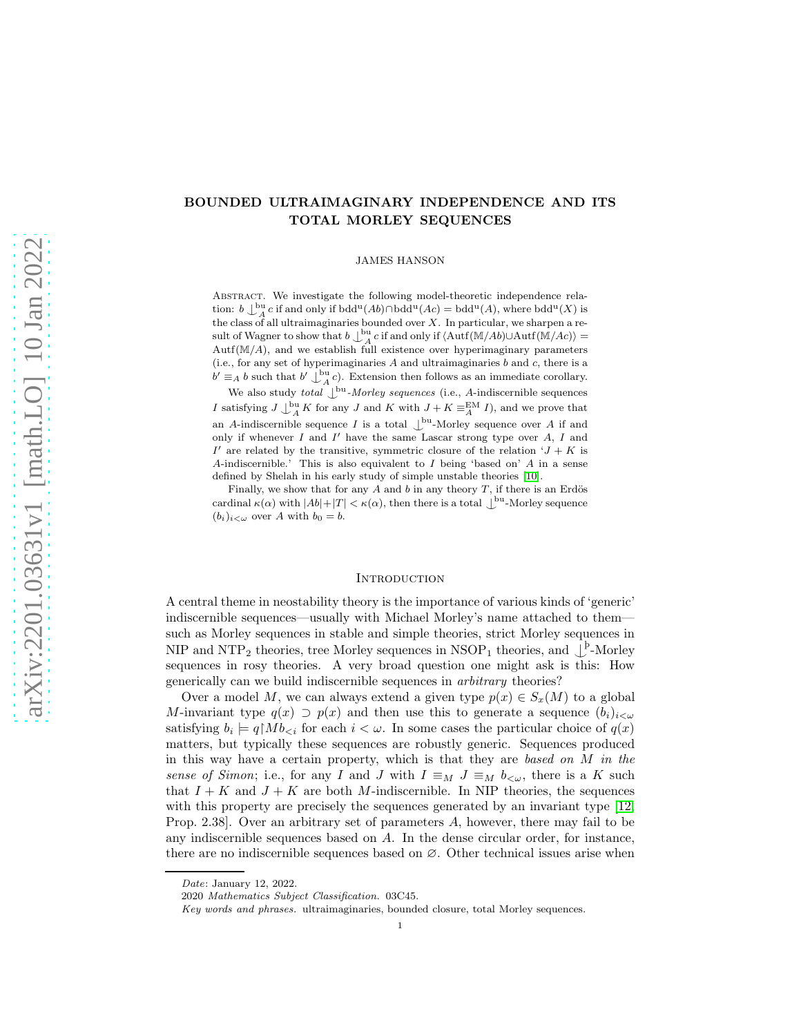# BOUNDED ULTRAIMAGINARY INDEPENDENCE AND ITS TOTAL MORLEY SEQUENCES

JAMES HANSON

ABSTRACT. We investigate the following model-theoretic independence relation:  $b \perp_A^{\text{bu}} c$  if and only if  $bdd^u(Ab) \cap bdd^u(Ac) = bdd^u(A)$ , where  $bdd^u(X)$  is the class of all ultraimaginaries bounded over  $X$ . In particular, we sharpen a result of Wagner to show that  $b \int_{A}^{b} u c$  if and only if  $\langle \text{Autf}(\mathbb{M}/Ab) \cup \text{Autf}(\mathbb{M}/Ac) \rangle =$  $Autf(M/A)$ , and we establish full existence over hyperimaginary parameters (i.e., for any set of hyperimaginaries  $A$  and ultraimaginaries  $b$  and  $c$ , there is a  $b' \equiv_A b$  such that  $b' \downarrow_A^{\text{bu}} c$ ). Extension then follows as an immediate corollary.

We also study *total*  $\bigcup^{\text{bu}}$ -*Morley sequences* (i.e., *A*-indiscernible sequences I satisfying  $J \perp^{\text{bu}}_A K$  for any  $J$  and  $K$  with  $J + K \equiv^{\text{EM}}_A I$ ), and we prove that an A-indiscernible sequence I is a total  $\bigcup^{\text{bu}}$ -Morley sequence over A if and only if whenever  $I$  and  $I'$  have the same Lascar strong type over  $A$ ,  $I$  and I' are related by the transitive, symmetric closure of the relation  $J + K$  is A-indiscernible.' This is also equivalent to I being 'based on' A in a sense defined by Shelah in his early study of simple unstable theories [\[10\]](#page-21-0).

Finally, we show that for any  $A$  and  $b$  in any theory  $T$ , if there is an Erdös cardinal  $\kappa(\alpha)$  with  $|Ab|+|T| < \kappa(\alpha)$ , then there is a total  $\bigcup^{\text{bu}}$ -Morley sequence  $(b_i)_{i<\omega}$  over A with  $b_0=b$ .

### **INTRODUCTION**

A central theme in neostability theory is the importance of various kinds of 'generic' indiscernible sequences—usually with Michael Morley's name attached to them such as Morley sequences in stable and simple theories, strict Morley sequences in NIP and NTP<sub>2</sub> theories, tree Morley sequences in NSOP<sub>1</sub> theories, and  $\bigcup_{n=1}^{p}$ -Morley sequences in rosy theories. A very broad question one might ask is this: How generically can we build indiscernible sequences in arbitrary theories?

Over a model M, we can always extend a given type  $p(x) \in S_x(M)$  to a global M-invariant type  $q(x) \supset p(x)$  and then use this to generate a sequence  $(b_i)_{i < \omega}$ satisfying  $b_i \models q \upharpoonright Mb_{\leq i}$  for each  $i < \omega$ . In some cases the particular choice of  $q(x)$ matters, but typically these sequences are robustly generic. Sequences produced in this way have a certain property, which is that they are based on  $M$  in the sense of Simon; i.e., for any I and J with  $I \equiv_M J \equiv_M b_{\leq \omega}$ , there is a K such that  $I + K$  and  $J + K$  are both M-indiscernible. In NIP theories, the sequences with this property are precisely the sequences generated by an invariant type [\[12,](#page-21-1) Prop. 2.38]. Over an arbitrary set of parameters A, however, there may fail to be any indiscernible sequences based on A. In the dense circular order, for instance, there are no indiscernible sequences based on ∅. Other technical issues arise when

*Date*: January 12, 2022.

<sup>2020</sup> *Mathematics Subject Classification.* 03C45.

*Key words and phrases.* ultraimaginaries, bounded closure, total Morley sequences.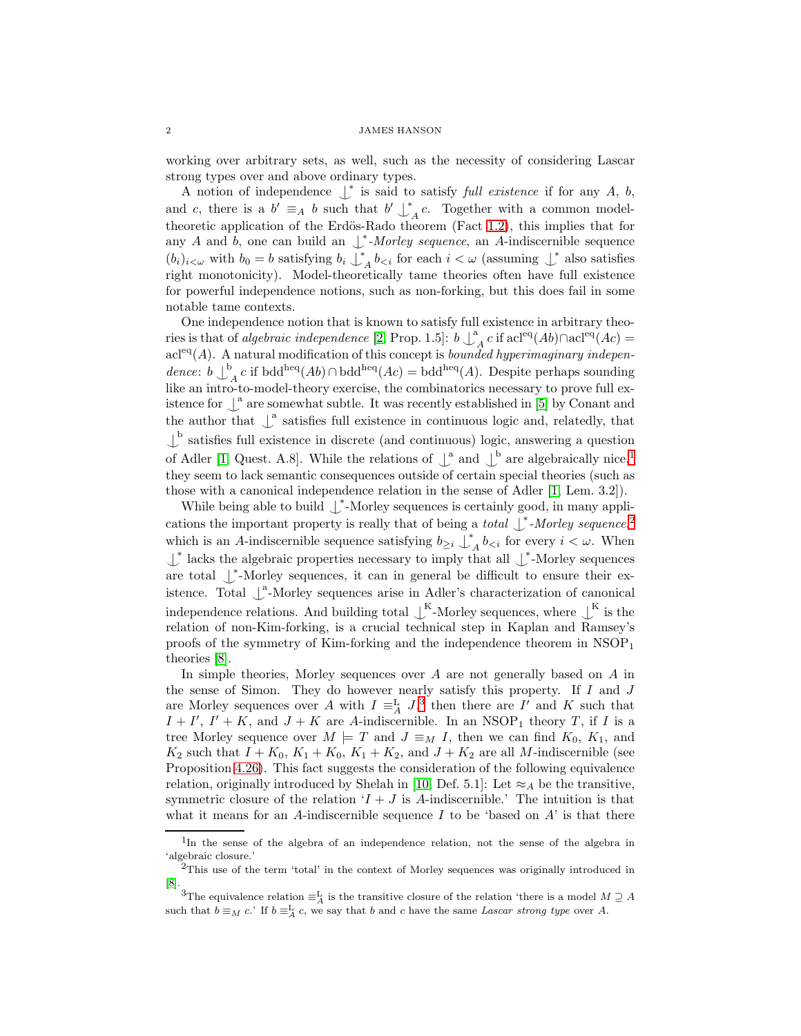working over arbitrary sets, as well, such as the necessity of considering Lascar strong types over and above ordinary types.

A notion of independence  $\downarrow^*$  is said to satisfy *full existence* if for any A, b, and c, there is a  $b' \equiv_A b$  such that  $b' \downarrow^*$  $A \in \mathcal{A}$ . Together with a common model-theoretic application of the Erdös-Rado theorem (Fact [1.2\)](#page-4-0), this implies that for any A and b, one can build an  $\bigcup_{\alpha}^*$ -Morley sequence, an A-indiscernible sequence  $(b_i)_{i < \omega}$  with  $b_0 = b$  satisfying  $b_i \downarrow^*$  $\bigwedge^i b_{\leq i}$  for each  $i < \omega$  (assuming  $\bigcup^*$  also satisfies right monotonicity). Model-theoretically tame theories often have full existence for powerful independence notions, such as non-forking, but this does fail in some notable tame contexts.

One independence notion that is known to satisfy full existence in arbitrary theories is that of *algebraic independence* [\[2,](#page-21-2) Prop. 1.5]:  $b \downarrow^a$  $A<sub>A</sub> c$  if acl<sup>eq</sup>(Ab)∩acl<sup>eq</sup>(Ac) =  $\operatorname{acl}^{\operatorname{eq}}(A)$ . A natural modification of this concept is *bounded hyperimaginary indepen*dence:  $b \downarrow^b$  $A_A^{\circ} c$  if bdd<sup>heq</sup>(Ab) ∩ bdd<sup>heq</sup>(Ac) = bdd<sup>heq</sup>(A). Despite perhaps sounding like an intro-to-model-theory exercise, the combinatorics necessary to prove full existence for  $\int_a^a$  are somewhat subtle. It was recently established in [\[5\]](#page-21-3) by Conant and the author that  $\int_a^b$  satisfies full existence in continuous logic and, relatedly, that  $\downarrow^{\text{b}}$  satisfies full existence in discrete (and continuous) logic, answering a question of Adler [\[1,](#page-21-4) Quest. A.8]. While the relations of  $\int_a^a$  and  $\int_b^b$  are algebraically nice,<sup>[1](#page-1-0)</sup> they seem to lack semantic consequences outside of certain special theories (such as those with a canonical independence relation in the sense of Adler [\[1,](#page-21-4) Lem. 3.2]).

While being able to build  $\downarrow^*$ -Morley sequences is certainly good, in many applications the important property is really that of being a *total*  $\int^*$ -Morley sequence,<sup>[2](#page-1-1)</sup> which is an A-indiscernible sequence satisfying  $b_{\geq i} \downarrow^*$  $\int_A b_{\leq i}$  for every  $i \leq \omega$ . When  $↓^*$  lacks the algebraic properties necessary to imply that all  $↓^*$ -Morley sequences are total  $\downarrow^*$ -Morley sequences, it can in general be difficult to ensure their existence. Total  $\int_a^a$ -Morley sequences arise in Adler's characterization of canonical independence relations. And building total  $\bigcup^{K}$ -Morley sequences, where  $\bigcup^{K}$  is the relation of non-Kim-forking, is a crucial technical step in Kaplan and Ramsey's proofs of the symmetry of Kim-forking and the independence theorem in  $NSOP<sub>1</sub>$ theories [\[8\]](#page-21-5).

In simple theories, Morley sequences over  $A$  are not generally based on  $A$  in the sense of Simon. They do however nearly satisfy this property. If  $I$  and  $J$ are Morley sequences over A with  $I \equiv_A^{\mathcal{L}} J$ ,<sup>[3](#page-1-2)</sup> then there are I' and K such that  $I + I'$ ,  $I' + K$ , and  $J + K$  are A-indiscernible. In an NSOP<sub>1</sub> theory T, if I is a tree Morley sequence over  $M \models T$  and  $J \equiv_M I$ , then we can find  $K_0$ ,  $K_1$ , and  $K_2$  such that  $I + K_0$ ,  $K_1 + K_0$ ,  $K_1 + K_2$ , and  $J + K_2$  are all M-indiscernible (see Proposition [4.26\)](#page-21-6). This fact suggests the consideration of the following equivalence relation, originally introduced by Shelah in [\[10,](#page-21-0) Def. 5.1]: Let  $\approx_A$  be the transitive, symmetric closure of the relation  $I + J$  is A-indiscernible.' The intuition is that what it means for an A-indiscernible sequence I to be 'based on  $A$ ' is that there

<span id="page-1-0"></span><sup>&</sup>lt;sup>1</sup>In the sense of the algebra of an independence relation, not the sense of the algebra in 'algebraic closure.'

<span id="page-1-1"></span> $2$ This use of the term 'total' in the context of Morley sequences was originally introduced in [\[8\]](#page-21-5).

<span id="page-1-2"></span><sup>&</sup>lt;sup>3</sup>The equivalence relation  $\equiv_A^L$  is the transitive closure of the relation 'there is a model  $M \supseteq A$ such that  $b \equiv_M c$ .' If  $b \equiv_A^L c$ , we say that b and c have the same *Lascar strong type* over A.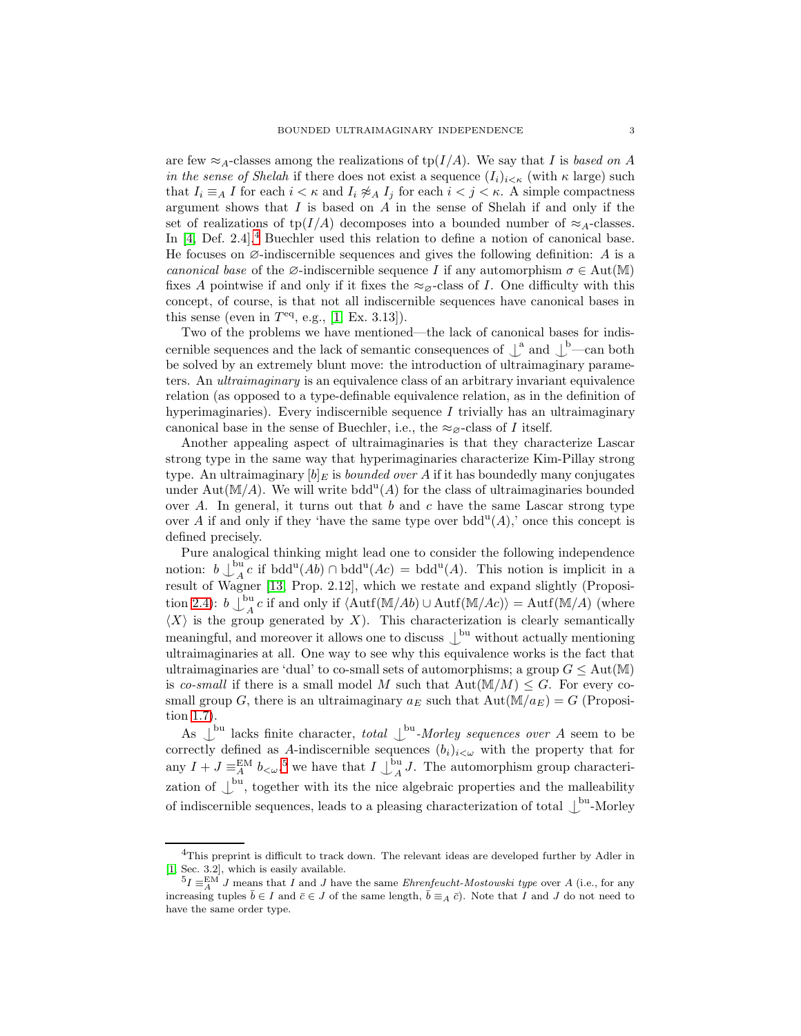are few  $\approx_A$ -classes among the realizations of tp(I/A). We say that I is based on A in the sense of Shelah if there does not exist a sequence  $(I_i)_{i \leq \kappa}$  (with  $\kappa$  large) such that  $I_i \equiv_A I$  for each  $i < \kappa$  and  $I_i \not\approx_A I_j$  for each  $i < j < \kappa$ . A simple compactness argument shows that I is based on A in the sense of Shelah if and only if the set of realizations of tp( $I/A$ ) decomposes into a bounded number of  $\approx_A$ -classes. In  $[4,$  $[4,$  $[4,$  Def. 2.4],<sup>4</sup> Buechler used this relation to define a notion of canonical base. He focuses on  $\emptyset$ -indiscernible sequences and gives the following definition: A is a canonical base of the  $\emptyset$ -indiscernible sequence I if any automorphism  $\sigma \in \text{Aut}(\mathbb{M})$ fixes A pointwise if and only if it fixes the  $\approx_{\mathcal{Q}}$ -class of I. One difficulty with this concept, of course, is that not all indiscernible sequences have canonical bases in this sense (even in  $T<sup>eq</sup>$ , e.g., [\[1,](#page-21-4) Ex. 3.13]).

Two of the problems we have mentioned—the lack of canonical bases for indiscernible sequences and the lack of semantic consequences of  $\int_a^b$  and  $\int_b^b$ —can both be solved by an extremely blunt move: the introduction of ultraimaginary parameters. An ultraimaginary is an equivalence class of an arbitrary invariant equivalence relation (as opposed to a type-definable equivalence relation, as in the definition of hyperimaginaries). Every indiscernible sequence  $I$  trivially has an ultraimaginary canonical base in the sense of Buechler, i.e., the  $\approx_{\alpha}$ -class of I itself.

Another appealing aspect of ultraimaginaries is that they characterize Lascar strong type in the same way that hyperimaginaries characterize Kim-Pillay strong type. An ultraimaginary  $[b]_E$  is *bounded over A* if it has boundedly many conjugates under Aut $(\mathbb{M}/A)$ . We will write bdd<sup>u</sup> $(A)$  for the class of ultraimaginaries bounded over A. In general, it turns out that b and c have the same Lascar strong type over A if and only if they 'have the same type over  $bdd<sup>u</sup>(A)$ ,' once this concept is defined precisely.

Pure analogical thinking might lead one to consider the following independence notion:  $b \downarrow_A^{\text{bu}}$  $A_A^{\text{ou}} c$  if bdd<sup>u</sup>(*Ab*) ∩ bdd<sup>u</sup>(*Ac*) = bdd<sup>u</sup>(*A*). This notion is implicit in a result of Wagner [\[13,](#page-21-8) Prop. 2.12], which we restate and expand slightly (Proposi-tion [2.4\)](#page-8-0):  $b \bigcup_{A}^{bu}$  $A_A^{\text{ou}} c$  if and only if  $\langle \text{Autf}(\mathbb{M}/Ab) \cup \text{Autf}(\mathbb{M}/Ac) \rangle = \text{Autf}(\mathbb{M}/A)$  (where  $\langle X \rangle$  is the group generated by X). This characterization is clearly semantically meaningful, and moreover it allows one to discuss  $\bigcup^{\text{bu}}$  without actually mentioning ultraimaginaries at all. One way to see why this equivalence works is the fact that ultraimaginaries are 'dual' to co-small sets of automorphisms; a group  $G \leq Aut(M)$ is co-small if there is a small model M such that  $Aut(M/M) \leq G$ . For every cosmall group G, there is an ultraimaginary  $a_E$  such that  $Aut(M/a_E) = G$  (Proposition [1.7\)](#page-5-0).

As  $\bigcup^{\text{bu}}$  lacks finite character, total  $\bigcup^{\text{bu}}$ -Morley sequences over A seem to be correctly defined as A-indiscernible sequences  $(b_i)_{i<\omega}$  with the property that for any  $I + J \equiv_A^{\text{EM}} b_{\lt \omega}$ , we have that  $I \downarrow_A^{\text{bu}}$  $_{A}^{3}$  J. The automorphism group characterization of  $\bigcup^{\text{bu}}$ , together with its the nice algebraic properties and the malleability of indiscernible sequences, leads to a pleasing characterization of total  $\mathcal{L}^{\text{bu}}$ -Morley

<span id="page-2-0"></span><sup>&</sup>lt;sup>4</sup>This preprint is difficult to track down. The relevant ideas are developed further by Adler in [\[1,](#page-21-4) Sec. 3.2], which is easily available.

<span id="page-2-1"></span> $^{5}I \equiv ^{EM}_{A}J$  means that I and J have the same *Ehrenfeucht-Mostowski type* over A (i.e., for any increasing tuples  $\bar{b} \in I$  and  $\bar{c} \in J$  of the same length,  $\bar{b} \equiv_A \bar{c}$ ). Note that I and J do not need to have the same order type.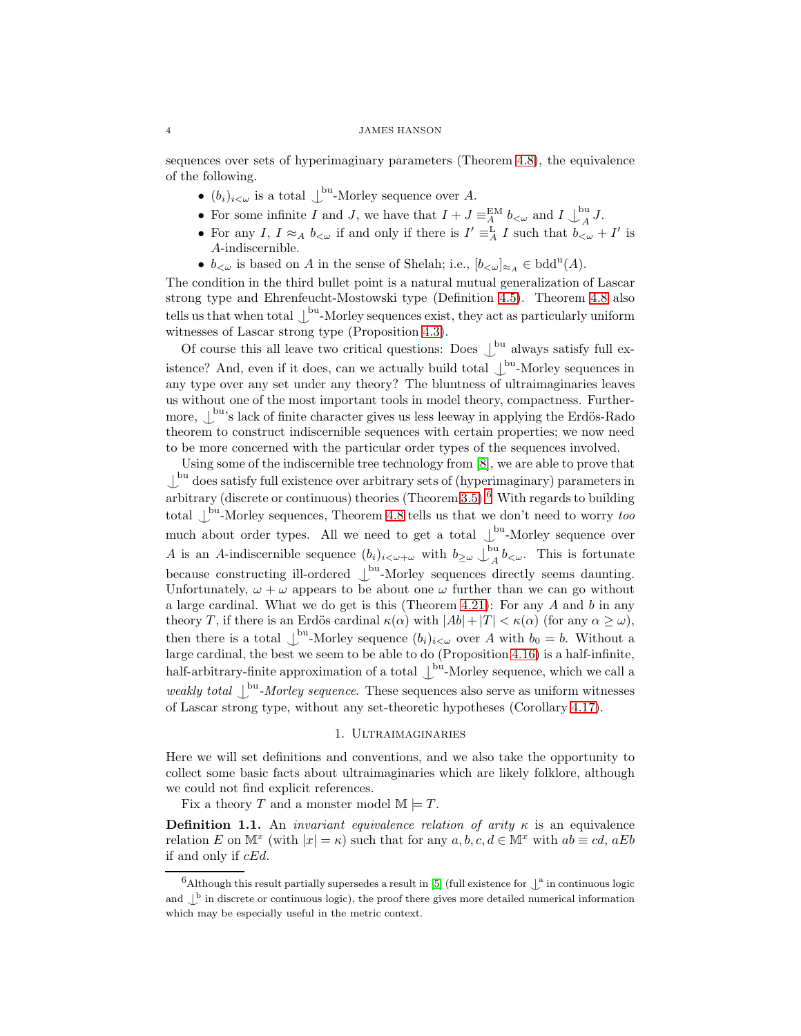sequences over sets of hyperimaginary parameters (Theorem [4.8\)](#page-14-0), the equivalence of the following.

- $(b_i)_{i < \omega}$  is a total  $\bigcup^{\text{bu}}$ -Morley sequence over A.
- For some infinite I and J, we have that  $I + J \equiv_A^{\text{EM}} b_{\lt \omega}$  and  $I \downarrow_A^{\text{bu}}$  $\int_A^{\infty} J.$
- For any I,  $I \approx_A b_{\lt \omega}$  if and only if there is  $I' \equiv_A^L I$  such that  $b_{\lt \omega} + I'$  is A-indiscernible.
- $b_{<\omega}$  is based on A in the sense of Shelah; i.e.,  $[b_{<\omega}]_{\approx_A} \in \text{bdd}^{\text{u}}(A)$ .

The condition in the third bullet point is a natural mutual generalization of Lascar strong type and Ehrenfeucht-Mostowski type (Definition [4.5\)](#page-13-0). Theorem [4.8](#page-14-0) also tells us that when total  $\bigcup^{\text{bu}}$ -Morley sequences exist, they act as particularly uniform witnesses of Lascar strong type (Proposition [4.3\)](#page-13-1).

Of course this all leave two critical questions: Does  $\bigcup_{i=1}^{bu}$  always satisfy full existence? And, even if it does, can we actually build total  $\int_{a}^{b}$ -Morley sequences in any type over any set under any theory? The bluntness of ultraimaginaries leaves us without one of the most important tools in model theory, compactness. Furthermore,  $\bigcup^{\text{bu}}$ 's lack of finite character gives us less leeway in applying the Erdös-Rado theorem to construct indiscernible sequences with certain properties; we now need to be more concerned with the particular order types of the sequences involved.

Using some of the indiscernible tree technology from [\[8\]](#page-21-5), we are able to prove that  $\perp^{\text{bu}}$  does satisfy full existence over arbitrary sets of (hyperimaginary) parameters in arbitrary (discrete or continuous) theories (Theorem  $3.5$ ).<sup>[6](#page-3-0)</sup> With regards to building total  $\int_{0}^{\text{bu}}$ -Morley sequences, Theorem [4.8](#page-14-0) tells us that we don't need to worry too much about order types. All we need to get a total  $\bigcup^{\text{bu}}$ -Morley sequence over A is an A-indiscernible sequence  $(b_i)_{i < \omega + \omega}$  with  $b_{\geq \omega} \downarrow_H^{\text{bu}}$  $\int_A^{\infty} b_{\leq \omega}$ . This is fortunate because constructing ill-ordered  $\bigcup^{\text{bu}}$ -Morley sequences directly seems daunting. Unfortunately,  $\omega + \omega$  appears to be about one  $\omega$  further than we can go without a large cardinal. What we do get is this (Theorem [4.21\)](#page-19-0): For any  $A$  and  $b$  in any theory T, if there is an Erdös cardinal  $\kappa(\alpha)$  with  $|Ab|+|T| < \kappa(\alpha)$  (for any  $\alpha \ge \omega$ ), then there is a total  $\int^{bu}$ -Morley sequence  $(b_i)_{i<\omega}$  over A with  $b_0 = b$ . Without a large cardinal, the best we seem to be able to do (Proposition [4.16\)](#page-18-0) is a half-infinite, half-arbitrary-finite approximation of a total  $\bigcup^{\text{bu}}$ -Morley sequence, which we call a weakly total  $\int_{-\infty}^{\infty}$  Morley sequence. These sequences also serve as uniform witnesses of Lascar strong type, without any set-theoretic hypotheses (Corollary [4.17\)](#page-18-1).

# 1. Ultraimaginaries

Here we will set definitions and conventions, and we also take the opportunity to collect some basic facts about ultraimaginaries which are likely folklore, although we could not find explicit references.

Fix a theory T and a monster model  $\mathbb{M} \models T$ .

**Definition 1.1.** An *invariant equivalence relation of arity*  $\kappa$  is an equivalence relation E on  $\mathbb{M}^x$  (with  $|x| = \kappa$ ) such that for any  $a, b, c, d \in \mathbb{M}^x$  with  $ab \equiv cd, aEb$ if and only if  $cEd$ .

<span id="page-3-0"></span> $6$ Although this result partially supersedes a result in [\[5\]](#page-21-3) (full existence for  $\downarrow^a$  in continuous logic and  $\bigcup^b$  in discrete or continuous logic), the proof there gives more detailed numerical information which may be especially useful in the metric context.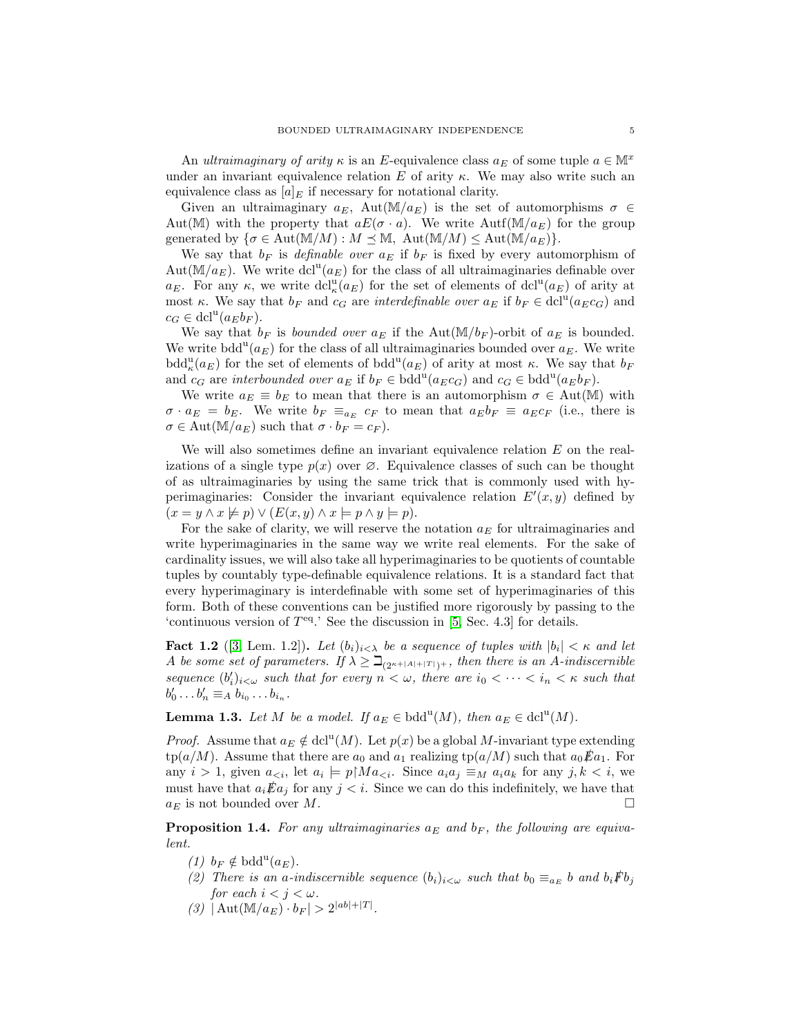An ultraimaginary of arity  $\kappa$  is an E-equivalence class  $a_E$  of some tuple  $a \in M^x$ under an invariant equivalence relation E of arity  $\kappa$ . We may also write such an equivalence class as  $[a]_E$  if necessary for notational clarity.

Given an ultraimaginary  $a_E$ , Aut(M/ $a_E$ ) is the set of automorphisms  $\sigma \in$ Aut(M) with the property that  $aE(\sigma \cdot a)$ . We write Autf(M/ $a_E$ ) for the group generated by  $\{\sigma \in \text{Aut}(\mathbb{M}/M) : M \leq \mathbb{M}, \text{ Aut}(\mathbb{M}/M) \leq \text{Aut}(\mathbb{M}/a_E)\}.$ 

We say that  $b_F$  is *definable over*  $a_E$  if  $b_F$  is fixed by every automorphism of Aut $(\mathbb{M}/a_E)$ . We write dcl<sup>u</sup> $(a_E)$  for the class of all ultraimaginaries definable over  $a_E$ . For any  $\kappa$ , we write  $dcl^{\mathbf{u}}_{\kappa}(a_E)$  for the set of elements of  $dcl^{\mathbf{u}}(a_E)$  of arity at most κ. We say that  $b_F$  and  $c_G$  are *interdefinable over*  $a_E$  if  $b_F \in \text{dcl}^u(a_E c_G)$  and  $c_G \in \text{dcl}^{\text{u}}(a_E b_F).$ 

We say that  $b_F$  is *bounded over*  $a_E$  if the Aut(M/ $b_F$ )-orbit of  $a_E$  is bounded. We write  $\text{bdd}^{\text{u}}(a_E)$  for the class of all ultraimaginaries bounded over  $a_E$ . We write bdd<sup>u</sup><sub>k</sub> $(a_E)$  for the set of elements of bdd<sup>u</sup> $(a_E)$  of arity at most  $\kappa$ . We say that  $b_F$ and  $c_G$  are interbounded over  $a_E$  if  $b_F \in \text{bdd}^u(a_E c_G)$  and  $c_G \in \text{bdd}^u(a_E b_F)$ .

We write  $a_E \equiv b_E$  to mean that there is an automorphism  $\sigma \in Aut(M)$  with  $\sigma \cdot a_E = b_E$ . We write  $b_F \equiv_{a_E} c_F$  to mean that  $a_E b_F \equiv a_E c_F$  (i.e., there is  $\sigma \in \text{Aut}(\mathbb{M}/a_E)$  such that  $\sigma \cdot b_F = c_F$ ).

We will also sometimes define an invariant equivalence relation E on the realizations of a single type  $p(x)$  over  $\varnothing$ . Equivalence classes of such can be thought of as ultraimaginaries by using the same trick that is commonly used with hyperimaginaries: Consider the invariant equivalence relation  $E'(x, y)$  defined by  $(x = y \land x \not\models p) \lor (E(x, y) \land x \models p \land y \models p).$ 

For the sake of clarity, we will reserve the notation  $a<sub>E</sub>$  for ultraimaginaries and write hyperimaginaries in the same way we write real elements. For the sake of cardinality issues, we will also take all hyperimaginaries to be quotients of countable tuples by countably type-definable equivalence relations. It is a standard fact that every hyperimaginary is interdefinable with some set of hyperimaginaries of this form. Both of these conventions can be justified more rigorously by passing to the 'continuous version of  $T<sup>eq</sup>$ .' See the discussion in [\[5,](#page-21-3) Sec. 4.3] for details.

<span id="page-4-0"></span>**Fact 1.2** ([\[3,](#page-21-9) Lem. 1.2]). Let  $(b_i)_{i \leq \lambda}$  be a sequence of tuples with  $|b_i| < \kappa$  and let A be some set of parameters. If  $\lambda \geq \beth_{(2^{\kappa+|A|+|T|})+}$ , then there is an A-indiscernible sequence  $(b_i')_{i<\omega}$  such that for every  $n<\omega$ , there are  $i_0<\cdots < i_n<\kappa$  such that  $b'_0 \dots b'_n \equiv_A b_{i_0} \dots b_{i_n}.$ 

<span id="page-4-2"></span>**Lemma 1.3.** Let M be a model. If  $a_E \in \text{bdd}^u(M)$ , then  $a_E \in \text{dcl}^u(M)$ .

*Proof.* Assume that  $a_E \notin \text{dcl}^u(M)$ . Let  $p(x)$  be a global M-invariant type extending  $tp(a/M)$ . Assume that there are  $a_0$  and  $a_1$  realizing  $tp(a/M)$  such that  $a_0 \cancel{E} a_1$ . For any  $i > 1$ , given  $a_{\leq i}$ , let  $a_i \models p \upharpoonright Ma_{\leq i}$ . Since  $a_i a_j \equiv_M a_i a_k$  for any  $j, k \leq i$ , we must have that  $a_i \mathcal{E} a_j$  for any  $j < i$ . Since we can do this indefinitely, we have that  $a_E$  is not bounded over M.

<span id="page-4-1"></span>**Proposition 1.4.** For any ultraimaginaries  $a_E$  and  $b_F$ , the following are equivalent.

- (1)  $b_F \notin \text{bdd}^u(a_E)$ .
- (2) There is an a-indiscernible sequence  $(b_i)_{i<\omega}$  such that  $b_0 \equiv_{a_E} b$  and  $b_i \nvdash b_j$ for each  $i < j < \omega$ .
- (3)  $|\operatorname{Aut}(\mathbb{M}/a_E) \cdot b_F| > 2^{|ab|+|T|}.$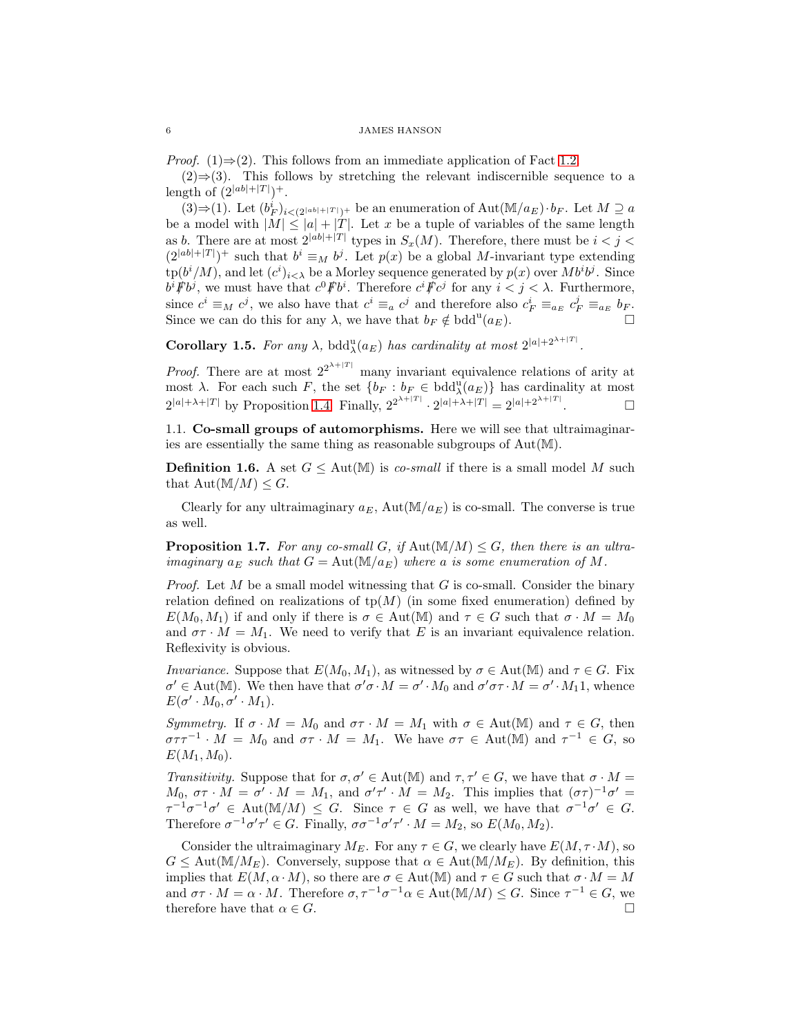*Proof.* (1) $\Rightarrow$ (2). This follows from an immediate application of Fact [1.2.](#page-4-0)

 $(2) \Rightarrow (3)$ . This follows by stretching the relevant indiscernible sequence to a length of  $(2^{|ab|+|T|})^+$ .

 $(3) \Rightarrow (1)$ . Let  $(b_F^i)_{i \leq (2^{|ab|+|T|})^+}$  be an enumeration of Aut(M/a<sub>E</sub>)⋅b<sub>F</sub>. Let M 2 a be a model with  $|M| \leq |a| + |T|$ . Let x be a tuple of variables of the same length as b. There are at most  $2^{|ab|+|T|}$  types in  $S_x(M)$ . Therefore, there must be  $i < j <$  $(2^{|ab|+|T|})^+$  such that  $b^i \equiv_M b^j$ . Let  $p(x)$  be a global M-invariant type extending  $\text{tp}(b^i/M)$ , and let  $(c^i)_{i\leq \lambda}$  be a Morley sequence generated by  $p(x)$  over  $Mb^i b^j$ . Since  $b^i \cancel{F} b^j$ , we must have that  $c^0 \cancel{F} b^i$ . Therefore  $c^i \cancel{F} c^j$  for any  $i < j < \lambda$ . Furthermore, since  $c^i \equiv_M c^j$ , we also have that  $c^i \equiv_a c^j$  and therefore also  $c_F^i \equiv_{a_E} c_F^j \equiv_{a_E} b_F$ . Since we can do this for any  $\lambda$ , we have that  $b_F \notin \text{bdd}^u(a_E)$ .

**Corollary 1.5.** For any  $\lambda$ , bdd $_{\lambda}^{\text{u}}(a_E)$  has cardinality at most  $2^{|a|+2^{\lambda+|T|}}$ .

*Proof.* There are at most  $2^{2^{\lambda+|T|}}$  many invariant equivalence relations of arity at most  $\lambda$ . For each such F, the set  $\{b_F : b_F \in \text{bdd}^{\text{u}}_{\lambda}(a_F)\}\)$  has cardinality at most  $2^{|a|+\lambda+|T|}$  by Proposition [1.4.](#page-4-1) Finally,  $2^{2^{\lambda+|T|}} \cdot 2^{|a|+\lambda+|T|} = 2^{|a|+2^{\lambda+|T|}}$  $\Box$ 

1.1. Co-small groups of automorphisms. Here we will see that ultraimaginaries are essentially the same thing as reasonable subgroups of Aut(M).

**Definition 1.6.** A set  $G \leq \text{Aut}(\mathbb{M})$  is co-small if there is a small model M such that  $\text{Aut}(\mathbb{M}/M) \leq G$ .

<span id="page-5-0"></span>Clearly for any ultraimaginary  $a_E$ , Aut $(\mathbb{M}/a_E)$  is co-small. The converse is true as well.

**Proposition 1.7.** For any co-small G, if  $\text{Aut}(\mathbb{M}/M) \leq G$ , then there is an ultraimaginary  $a_E$  such that  $G = \text{Aut}(\mathbb{M}/a_E)$  where a is some enumeration of M.

*Proof.* Let M be a small model witnessing that G is co-small. Consider the binary relation defined on realizations of  $tp(M)$  (in some fixed enumeration) defined by  $E(M_0, M_1)$  if and only if there is  $\sigma \in \text{Aut}(\mathbb{M})$  and  $\tau \in G$  such that  $\sigma \cdot M = M_0$ and  $\sigma \tau \cdot M = M_1$ . We need to verify that E is an invariant equivalence relation. Reflexivity is obvious.

Invariance. Suppose that  $E(M_0, M_1)$ , as witnessed by  $\sigma \in \text{Aut}(\mathbb{M})$  and  $\tau \in G$ . Fix  $\sigma' \in \text{Aut}(\mathbb{M})$ . We then have that  $\sigma' \sigma \cdot M = \sigma' \cdot M_0$  and  $\sigma' \sigma \tau \cdot M = \sigma' \cdot M_1 \cdot M_1$ , whence  $E(\sigma' \cdot M_0, \sigma' \cdot M_1).$ 

Symmetry. If  $\sigma \cdot M = M_0$  and  $\sigma \tau \cdot M = M_1$  with  $\sigma \in \text{Aut}(\mathbb{M})$  and  $\tau \in G$ , then  $\sigma \tau \tau^{-1} \cdot M = M_0$  and  $\sigma \tau \cdot M = M_1$ . We have  $\sigma \tau \in$  Aut(M) and  $\tau^{-1} \in G$ , so  $E(M_1, M_0)$ .

Transitivity. Suppose that for  $\sigma, \sigma' \in \text{Aut}(\mathbb{M})$  and  $\tau, \tau' \in G$ , we have that  $\sigma \cdot M =$  $M_0, \sigma\tau \cdot M = \sigma' \cdot M = M_1$ , and  $\sigma'\tau' \cdot M = M_2$ . This implies that  $(\sigma\tau)^{-1}\sigma' =$  $\tau^{-1}\sigma^{-1}\sigma' \in \text{Aut}(\mathbb{M}/M) \leq G$ . Since  $\tau \in G$  as well, we have that  $\sigma^{-1}\sigma' \in G$ . Therefore  $\sigma^{-1}\sigma'\tau' \in G$ . Finally,  $\sigma\sigma^{-1}\sigma'\tau' \cdot M = M_2$ , so  $E(M_0, M_2)$ .

<span id="page-5-1"></span>Consider the ultraimaginary  $M_E$ . For any  $\tau \in G$ , we clearly have  $E(M, \tau \cdot M)$ , so  $G \leq \text{Aut}(\mathbb{M}/M_E)$ . Conversely, suppose that  $\alpha \in \text{Aut}(\mathbb{M}/M_E)$ . By definition, this implies that  $E(M, \alpha \cdot M)$ , so there are  $\sigma \in \text{Aut}(\mathbb{M})$  and  $\tau \in G$  such that  $\sigma \cdot M = M$ and  $\sigma \tau \cdot M = \alpha \cdot M$ . Therefore  $\sigma, \tau^{-1} \sigma^{-1} \alpha \in \text{Aut}(\mathbb{M}/M) \leq G$ . Since  $\tau^{-1} \in G$ , we therefore have that  $\alpha \in G$ .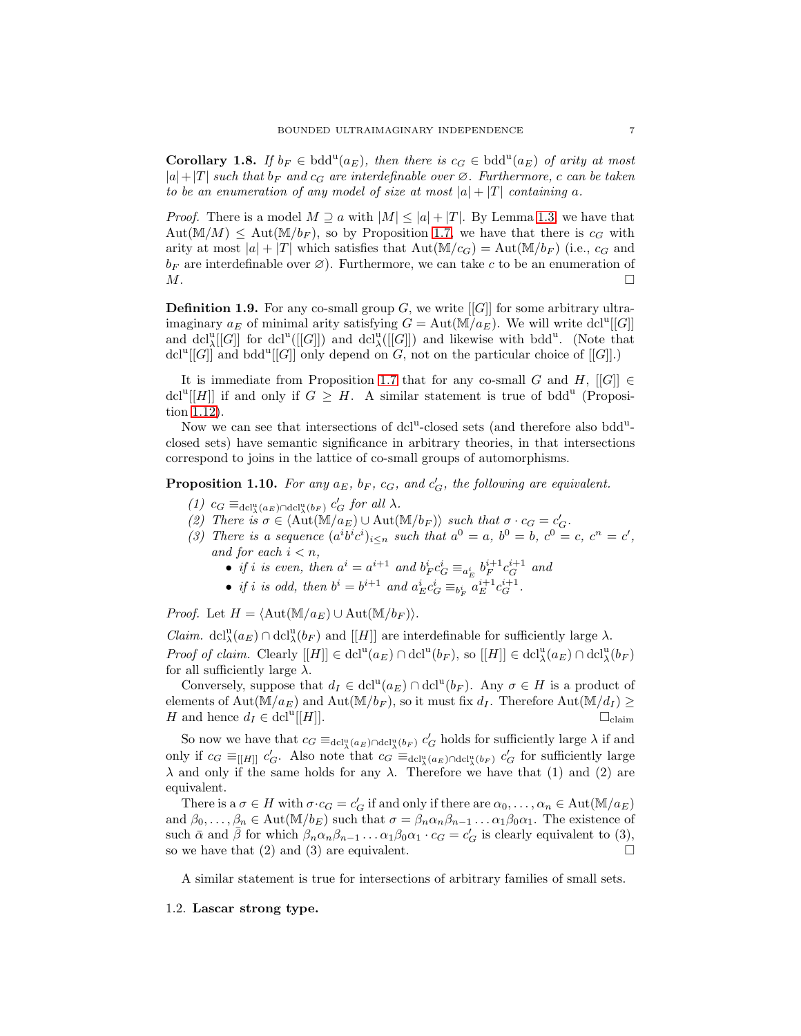**Corollary 1.8.** If  $b_F \in \text{bdd}^u(a_E)$ , then there is  $c_G \in \text{bdd}^u(a_E)$  of arity at most  $|a|+|T|$  such that  $b_F$  and  $c_G$  are interdefinable over  $\varnothing$ . Furthermore, c can be taken to be an enumeration of any model of size at most  $|a| + |T|$  containing a.

*Proof.* There is a model  $M \supset a$  with  $|M| \leq |a| + |T|$ . By Lemma [1.3,](#page-4-2) we have that  $Aut(M/M) \leq Aut(M/b_F)$ , so by Proposition [1.7,](#page-5-0) we have that there is  $c_G$  with arity at most  $|a| + |T|$  which satisfies that  $Aut(M/c_G) = Aut(M/b_F)$  (i.e.,  $c_G$  and  $b_F$  are interdefinable over  $\varnothing$ ). Furthermore, we can take c to be an enumeration of  $M$ .

**Definition 1.9.** For any co-small group  $G$ , we write  $[[G]]$  for some arbitrary ultraimaginary  $a_E$  of minimal arity satisfying  $G = \text{Aut}(\overline{M}/a_E)$ . We will write dcl<sup>u</sup>[[G]] and dcl<sup>u</sup>([G]] for dcl<sup>u</sup>([G]]) and dcl<sup>u</sup>([G]]) and likewise with bdd<sup>u</sup>. (Note that dcl<sup>u</sup>[[G]] and bdd<sup>u</sup>[[G]] only depend on G, not on the particular choice of [[G]].)

It is immediate from Proposition [1.7](#page-5-0) that for any co-small G and H,  $[[G]] \in$ dcl<sup>u</sup>[[H]] if and only if  $G \geq H$ . A similar statement is true of bdd<sup>u</sup> (Proposition [1.12\)](#page-7-0).

Now we can see that intersections of dcl<sup>u</sup>-closed sets (and therefore also bdd<sup>u</sup>closed sets) have semantic significance in arbitrary theories, in that intersections correspond to joins in the lattice of co-small groups of automorphisms.

<span id="page-6-0"></span>**Proposition 1.10.** For any  $a_E$ ,  $b_F$ ,  $c_G$ , and  $c'_G$ , the following are equivalent.

- (1)  $c_G \equiv_{\text{dcl}^{\text{u}}_{\lambda}(a_E) \cap \text{dcl}^{\text{u}}_{\lambda}(b_F)} c_G'$  for all  $\lambda$ .
- (2) There  $\hat{i}\hat{s}\sigma \in \langle \hat{\mathrm{Aut}}(\mathbb{M}/a_E) \cup \mathrm{Aut}(\mathbb{M}/b_F) \rangle$  such that  $\sigma \cdot c_G = c'_G$ .
- (3) There is a sequence  $(a^i b^i c^i)_{i \leq n}$  such that  $a^0 = a$ ,  $b^0 = b$ ,  $c^0 = c$ ,  $c^n = c'$ , and for each  $i < n$ ,
	- if i is even, then  $a^i = a^{i+1}$  and  $b_F^i c_G^i \equiv_{a_E^i} b_F^{i+1} c_G^{i+1}$  and
	- if i is odd, then  $b^{i} = b^{i+1}$  and  $a_{E}^{i} c_{G}^{i} \equiv_{b_{F}^{i}} a_{E}^{i+1} c_{G}^{i+1}$ .

*Proof.* Let  $H = \langle Aut(\mathbb{M}/a_E) \cup Aut(\mathbb{M}/b_F) \rangle$ .

*Claim.*  $dcl_{\lambda}^{\mathbf{u}}(a_E) \cap dcl_{\lambda}^{\mathbf{u}}(b_F)$  and [[H]] are interdefinable for sufficiently large  $\lambda$ . Proof of claim. Clearly  $[[H]] \in \det^{\mathfrak{u}}(a_E) \cap \det^{\mathfrak{u}}(b_F)$ , so  $[[H]] \in \det^{\mathfrak{u}}_{\lambda}(a_E) \cap \det^{\mathfrak{u}}_{\lambda}(b_F)$ for all sufficiently large  $\lambda$ .

Conversely, suppose that  $d_I \in \text{dcl}^{\text{u}}(a_E) \cap \text{dcl}^{\text{u}}(b_F)$ . Any  $\sigma \in H$  is a product of elements of Aut( $M/a_E$ ) and Aut( $M/b_F$ ), so it must fix  $d_I$ . Therefore Aut( $M/d_I$ )  $\geq$ H and hence  $d_I \in \text{dcl}^{\text{u}}[[H]].$  $[[H]].$ 

So now we have that  $c_G \equiv_{\text{dcl}_\lambda^u(a_E) \cap \text{dcl}_\lambda^u(b_F)} c'_G$  holds for sufficiently large  $\lambda$  if and only if  $c_G \equiv_{[[H]]} c'_G$ . Also note that  $c_G \equiv_{\text{dcl}^u_\lambda(a_E) \cap \text{dcl}^u_\lambda(b_F)} c'_G$  for sufficiently large  $\lambda$  and only if the same holds for any  $\lambda$ . Therefore we have that (1) and (2) are equivalent.

There is a  $\sigma \in H$  with  $\sigma \cdot c_G = c_G'$  if and only if there are  $\alpha_0, \ldots, \alpha_n \in \text{Aut}(\mathbb{M}/a_E)$ and  $\beta_0, \ldots, \beta_n \in \text{Aut}(\mathbb{M}/b_E)$  such that  $\sigma = \beta_n \alpha_n \beta_{n-1} \ldots \alpha_1 \beta_0 \alpha_1$ . The existence of such  $\bar{\alpha}$  and  $\bar{\beta}$  for which  $\beta_n \alpha_n \beta_{n-1} \dots \alpha_1 \beta_0 \alpha_1 \cdot c_G = c_G'$  is clearly equivalent to (3), so we have that  $(2)$  and  $(3)$  are equivalent.

A similar statement is true for intersections of arbitrary families of small sets.

## 1.2. Lascar strong type.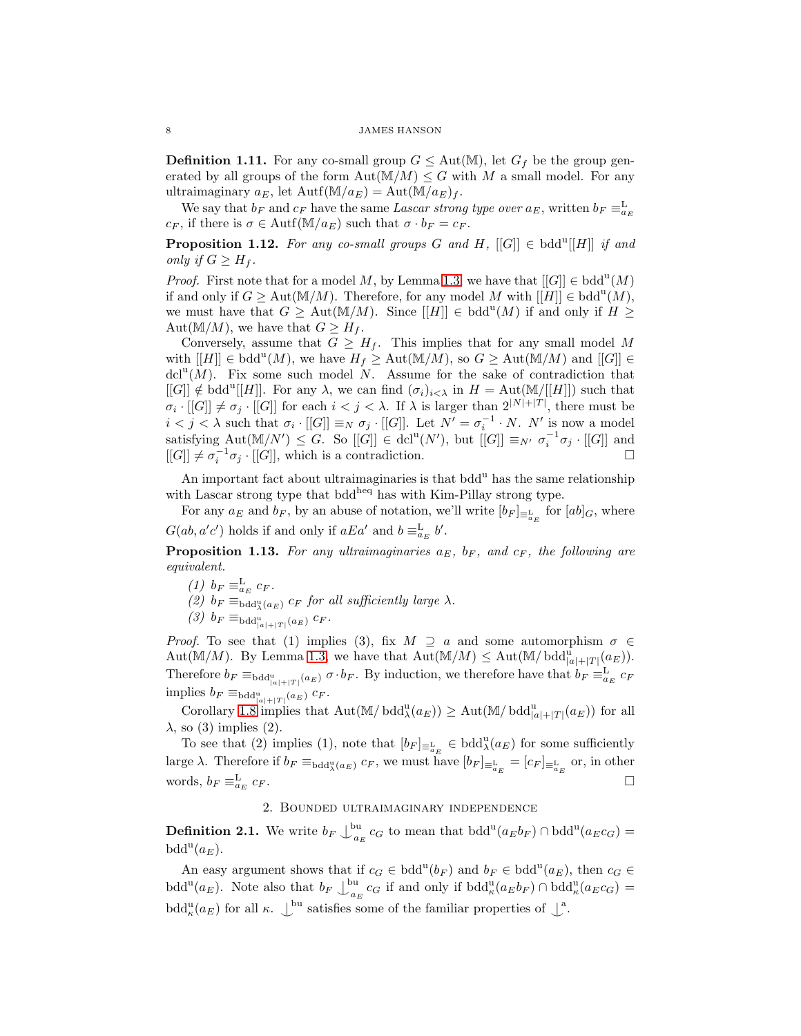**Definition 1.11.** For any co-small group  $G \leq Aut(M)$ , let  $G_f$  be the group generated by all groups of the form  $\text{Aut}(\mathbb{M}/M) \leq G$  with M a small model. For any ultraimaginary  $a_E$ , let  $\text{Aut}(\mathbb{M}/a_E) = \text{Aut}(\mathbb{M}/a_E)_f$ .

We say that  $b_F$  and  $c_F$  have the same Lascar strong type over  $a_E$ , written  $b_F \equiv_{a_E}^L$  $c_F$ , if there is  $\sigma \in \text{Autf}(\mathbb{M}/a_E)$  such that  $\sigma \cdot b_F = c_F$ .

<span id="page-7-0"></span>**Proposition 1.12.** For any co-small groups G and H,  $[[G]] \in \text{bdd}^u[[H]]$  if and only if  $G \geq H_f$ .

*Proof.* First note that for a model M, by Lemma [1.3,](#page-4-2) we have that  $[[G]] \in \text{bdd}^{\text{u}}(M)$ if and only if  $G \geq \text{Aut}(\mathbb{M}/M)$ . Therefore, for any model M with  $[[H]] \in \text{bdd}^{\text{u}}(M)$ , we must have that  $G \geq \text{Aut}(\mathbb{M}/M)$ . Since  $[[H]] \in \text{bdd}^u(M)$  if and only if  $H \geq$ Aut $(M/M)$ , we have that  $G \geq H_f$ .

Conversely, assume that  $G \geq H_f$ . This implies that for any small model M with  $[[H]] \in \text{bdd}^{\text{u}}(M)$ , we have  $H_f \geq \text{Aut}(\mathbb{M}/M)$ , so  $G \geq \text{Aut}(\mathbb{M}/M)$  and  $[[G]] \in$  $dcl<sup>u</sup>(M)$ . Fix some such model N. Assume for the sake of contradiction that  $[[G]] \notin \text{bdd}^u[[H]]$ . For any  $\lambda$ , we can find  $(\sigma_i)_{i \leq \lambda}$  in  $H = \text{Aut}(\mathbb{M}/[[H]])$  such that  $\sigma_i \cdot [[G]] \neq \sigma_j \cdot [[G]]$  for each  $i < j < \lambda$ . If  $\lambda$  is larger than  $2^{|N|+|T|}$ , there must be  $i < j < \lambda$  such that  $\sigma_i \cdot [[G]] \equiv_N \sigma_j \cdot [[G]]$ . Let  $N' = \sigma_i^{-1} \cdot N$ . N' is now a model satisfying  $\text{Aut}(\mathbb{M}/N') \leq G$ . So  $[[G]] \in \text{dcl}^{\mathfrak{u}}(N')$ , but  $[[G]] \equiv_{N'} \sigma_i^{-1} \sigma_j \cdot [[G]]$  and  $[[G]] \neq \sigma_i^{-1} \sigma_j \cdot [[G]],$  which is a contradiction.

An important fact about ultraimaginaries is that bdd<sup>u</sup> has the same relationship with Lascar strong type that bdd<sup>heq</sup> has with Kim-Pillay strong type.

For any  $a_E$  and  $b_F$ , by an abuse of notation, we'll write  $[b_F]_{\equiv_{a_E}^L}$  for  $[ab]_G$ , where  $G(ab, a'c')$  holds if and only if  $aEa'$  and  $b \equiv_{a_E}^L b'.$ 

<span id="page-7-1"></span>**Proposition 1.13.** For any ultraimaginaries  $a_E$ ,  $b_F$ , and  $c_F$ , the following are equivalent.

- (1)  $b_F \equiv_{a_E}^{\text{L}} c_F$ .
- (2)  $b_F \equiv_{\text{bdd}_\lambda^u(a_E)} c_F$  for all sufficiently large  $\lambda$ .
- $(3)$   $b_F \equiv_{\text{bdd}^{\text{u}}_{|a|+|T|}(a_E)} c_F$ .

*Proof.* To see that (1) implies (3), fix  $M \supseteq a$  and some automorphism  $\sigma \in$ Aut(M/M). By Lemma [1.3,](#page-4-2) we have that  $\text{Aut}(\mathbb{M}/M) \le \text{Aut}(\mathbb{M}/\text{bdd}^{\text{u}}_{|a|+|T|}(a_E)).$ Therefore  $b_F \equiv_{\text{bdd}_{|a|+|T|}(a_E)} \sigma \cdot b_F$ . By induction, we therefore have that  $b_F \equiv_{a_E}^{\text{L}} c_F$ implies  $b_F \equiv_{\text{bdd}^{\text{u}}_{|a|+|T|}(a_E)} c_F$ .

Corollary [1.8](#page-5-1) implies that Aut( $\mathbb{M}/\text{bdd}^{\mathfrak{u}}_{\lambda}(a_E)$ )  $\geq \text{Aut}(\mathbb{M}/\text{bdd}^{\mathfrak{u}}_{|a|+|T|}(a_E))$  for all  $\lambda$ , so (3) implies (2).

To see that (2) implies (1), note that  $[b_F]_{\equiv_{a_E}^L} \in \text{bdd}_{\lambda}^u(a_E)$  for some sufficiently large  $\lambda$ . Therefore if  $b_F \equiv_{\text{bdd}^\text{u}_{\lambda}(a_E)} c_F$ , we must have  $[b_F]_{\equiv_{a_E}^\text{L}} = [c_F]_{\equiv_{a_E}^\text{L}}$  or, in other words,  $b_F \equiv_{a_E}^{\text{L}}$  $c_F$ .

## 2. Bounded ultraimaginary independence

**Definition 2.1.** We write  $b_F \bigcup_{a_i}^{bu}$  $a_E^{\text{ou}} c_G$  to mean that  $\text{bdd}^{\text{u}}(a_E b_F) \cap \text{bdd}^{\text{u}}(a_E c_G) =$  $\text{bdd}^{\text{u}}(a_E).$ 

An easy argument shows that if  $c_G \in \text{bdd}^u(b_F)$  and  $b_F \in \text{bdd}^u(a_E)$ , then  $c_G \in$ bdd<sup>u</sup>( $a_E$ ). Note also that  $b_F \bigcup_{a_i}^{bu}$  $a_E$  c<sub>G</sub> if and only if bdd<sup>u</sup><sub> $\kappa$ </sub> $(a_E b_F) \cap \text{bdd}_{\kappa}^{\text{u}} (a_E c_G) =$ bdd<sup>u</sup><sub> $k$ </sub>( $a_E$ ) for all  $\kappa$ .  $\perp^{\text{bu}}$  satisfies some of the familiar properties of  $\perp^{\text{a}}$ .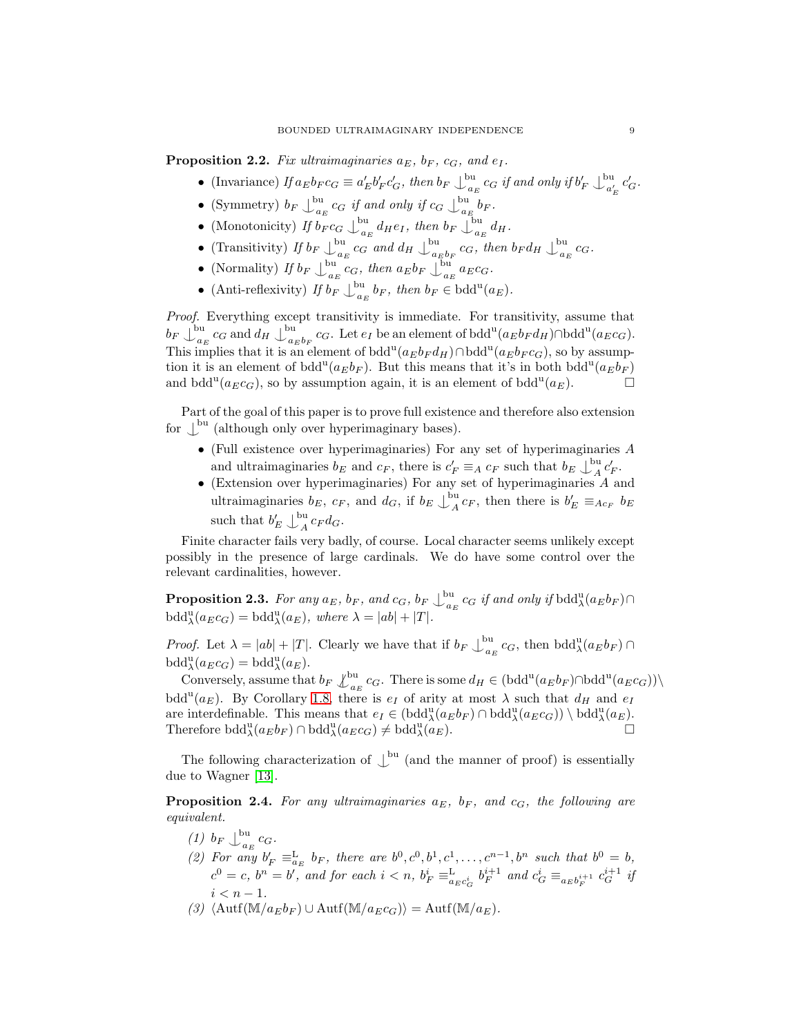**Proposition 2.2.** Fix ultraimaginaries  $a_E$ ,  $b_F$ ,  $c_G$ , and  $e_I$ .

- (Invariance) If  $a_E b_F c_G \equiv a'_E b'_F c'_G$ , then  $b_F \bigcup_{a_i}^{bu}$  $\frac{c_{a_E}}{c_{a_E}}$  c<sub>G</sub> if and only if  $b_F' \downarrow_{a_F'}^{\text{bu}}$  $a'_E$   $c'_G$ .
- (Symmetry)  $b_F \bigcup_{a_i}^{bu}$  $\frac{c_{G}}{a_{E}}$  c<sub>G</sub> if and only if  $c_{G} \bigcup_{a_{E}}^{b_{U}}$  $\int_{a_E}^{a_B} b_F.$
- (Monotonicity) If  $b_F c_G \bigcup_{a=1}^{\text{bu}}$  $\frac{du}{dx}$  d<sub>H</sub>e<sub>I</sub>, then  $b_F \bigcup_{a_F}^{bu}$  $\int_{a_E}^{a_H} dH$ .
- (Transitivity) If  $b_F \bigcup_{a_i}^{bu}$  $\frac{c_{\rm G}}{a_E}$  c<sub>G</sub> and  $d_H \bigcup_{a_B}^{\text{bu}}$  $\frac{c_{a}}{a_{E}b_{F}}$  c<sub>G</sub>, then  $b_{F}d_{H}\downarrow_{a_{F}}^{bu}$  $\frac{1}{a_E}$   $c_G$ .
- (Normality) If  $b_F \bigcup_{a_i}^{bu}$  $\int_{a_E}^{b_H} c_G$ , then  $a_E b_F \bigcup_{a_B}^{b_H}$  $a_E^{\text{ou}}$   $a_Ec_G$ .
- (Anti-reflexivity) If  $b_F \bigcup_{a_i}^{bu}$  $\int_{a_E}^{b_E} b_F$ , then  $b_F \in \text{bdd}^{\text{u}}(a_E)$ .

Proof. Everything except transitivity is immediate. For transitivity, assume that  $b_F\bigcup_{a_1}^{\text{bu}}$  $\frac{c_{G}}{a_{E}}$   $c_{G}$  and  $d_{H} \bigcup_{a_{H}}^{b_{H}}$  $\int_{a_E b_F}^{a_E} c_G$ . Let  $e_I$  be an element of bdd<sup>u</sup> $(a_E b_F d_H) \cap \text{bdd}^u(a_E c_G)$ . This implies that it is an element of bdd<sup>u</sup> $(a_E b_F d_H) \cap \text{bdd}^u(a_E b_F c_G)$ , so by assumption it is an element of bdd<sup>u</sup>( $a_E b_F$ ). But this means that it's in both bdd<sup>u</sup>( $a_E b_F$ ) and bdd<sup>u</sup>( $a_E c_G$ ), so by assumption again, it is an element of bdd<sup>u</sup>( $a_E$ ).

Part of the goal of this paper is to prove full existence and therefore also extension for  $\mathcal{L}^{\text{bu}}$  (although only over hyperimaginary bases).

- (Full existence over hyperimaginaries) For any set of hyperimaginaries A and ultraimaginaries  $b_E$  and  $c_F$ , there is  $c'_F \equiv_A c_F$  such that  $b_E \bigcup_A^{\text{bu}}$  $\int_A^{\infty} c'_F$ .
- (Extension over hyperimaginaries) For any set of hyperimaginaries  $A$  and ultraimaginaries  $b_E$ ,  $c_F$ , and  $d_G$ , if  $b_E \bigcup_{A}^{\text{bu}}$  $_{A}^{0u}c_{F}$ , then there is  $b_{E}' \equiv_{Ac_{F}} b_{E}$ such that  $b'_E \bigcup_{A}^{bu}$  $\int_A^{\infty} c_F d_G.$

Finite character fails very badly, of course. Local character seems unlikely except possibly in the presence of large cardinals. We do have some control over the relevant cardinalities, however.

<span id="page-8-1"></span>**Proposition 2.3.** For any  $a_E$ ,  $b_F$ , and  $c_G$ ,  $b_F \bigcup_{a_B}^{\text{bu}}$  $\int_{a_E}^{\infty} c_G \text{ if and only if } b \text{d}d^{\text{u}}_{\lambda}(a_E b_F) \cap$  $\text{bdd}^{\text{u}}_{\lambda}(a_E c_G) = \text{bdd}^{\text{u}}_{\lambda}(a_E), \text{ where } \lambda = |ab| + |T|.$ 

*Proof.* Let  $\lambda = |ab| + |T|$ . Clearly we have that if  $b_F \bigcup_{a_i}^{bu}$  $a_E^{\text{ou}} c_G$ , then  $\text{bdd}^{\text{u}}_{\lambda}(a_E b_F) \cap$  $\text{bdd}^{\text{u}}_{\lambda}(a_E c_G) = \text{bdd}^{\text{u}}_{\lambda}(a_E).$ 

Conversely, assume that  $b_F \int_{a_E}^{\text{bu}} c_G$ . There is some  $d_H \in (\text{bdd}^u(a_E b_F) \cap \text{bdd}^u(a_E c_G))\setminus$ bdd<sup>u</sup>( $a_E$ ). By Corollary [1.8,](#page-5-1) there is  $e_I$  of arity at most  $\lambda$  such that  $d_H$  and  $e_I$ are interdefinable. This means that  $e_I \in (bdd_\lambda^u(a_E b_F) \cap bdd_\lambda^u(a_E c_G)) \setminus bdd_\lambda^u(a_E)$ . Therefore bdd<sup>u</sup> $(a_E b_F) \cap \text{bdd}^{\text{u}}_{\lambda}(a_E c_G) \neq \text{bdd}^{\text{u}}_{\lambda}(a_E)$ .

<span id="page-8-0"></span>The following characterization of  $\mathcal{L}^{\text{bu}}$  (and the manner of proof) is essentially due to Wagner [\[13\]](#page-21-8).

**Proposition 2.4.** For any ultraimaginaries  $a_E$ ,  $b_F$ , and  $c_G$ , the following are equivalent.

- $(1)$   $b_F \bigcup_{a_1}^{bu}$  $\frac{1}{a_E}$   $c_G$ .
- (2) For any  $b'_F \equiv_{a_E}^L b_F$ , there are  $b^0, c^0, b^1, c^1, \ldots, c^{n-1}, b^n$  such that  $b^0 = b$ ,  $c^0 = c$ ,  $b^n = b'$ , and for each  $i < n$ ,  $b_F^i \equiv_{a_E c_G^i}^{\text{L}} b_F^{i+1}$  and  $c_G^i \equiv_{a_E b_F^{i+1}} c_G^{i+1}$  if  $i < n-1$ .
- (3)  $\langle \text{Autf}(\mathbb{M}/a_Eb_F) \cup \text{Autf}(\mathbb{M}/a_Ec_G) \rangle = \text{Autf}(\mathbb{M}/a_E).$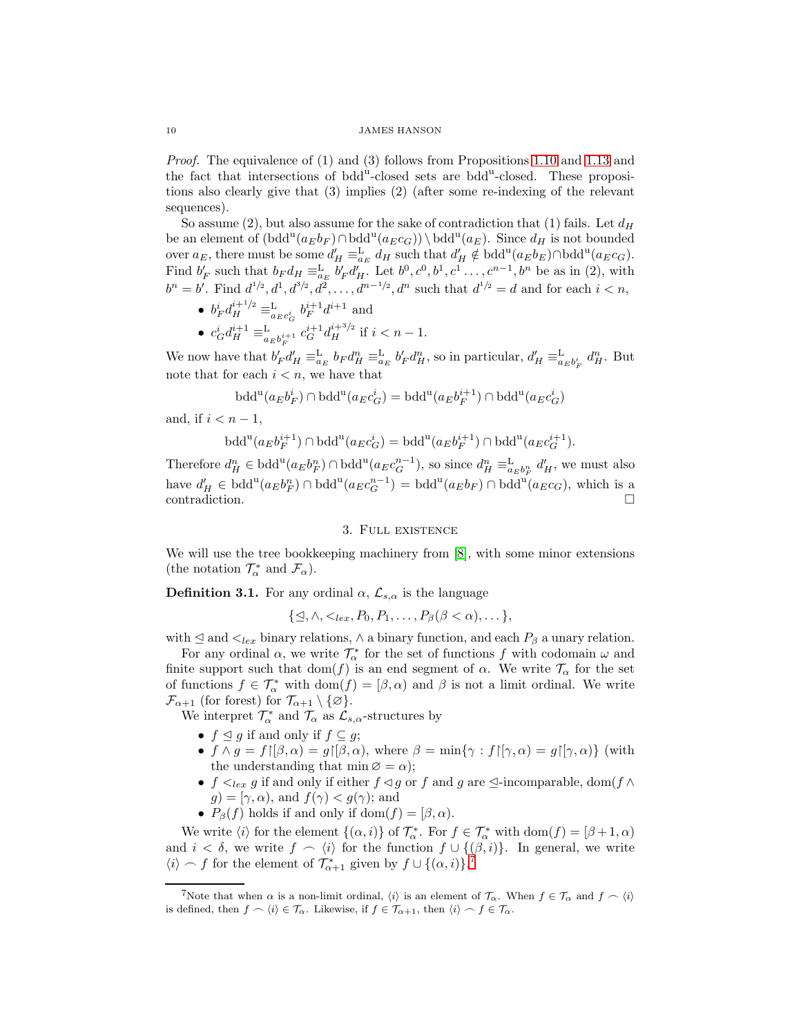Proof. The equivalence of (1) and (3) follows from Propositions [1.10](#page-6-0) and [1.13](#page-7-1) and the fact that intersections of bdd<sup>u</sup>-closed sets are bdd<sup>u</sup>-closed. These propositions also clearly give that (3) implies (2) (after some re-indexing of the relevant sequences).

So assume (2), but also assume for the sake of contradiction that (1) fails. Let  $d_H$ be an element of  $(\text{bdd}^u(a_E b_F) \cap \text{bdd}^u(a_E c_G)) \setminus \text{bdd}^u(a_E)$ . Since  $d_H$  is not bounded over  $a_E$ , there must be some  $d'_H \equiv_{a_E}^{\mathcal{L}} d_H$  such that  $d'_H \notin \text{bdd}^u(a_E b_E) \cap \text{bdd}^u(a_E c_G)$ . Find  $b'_F$  such that  $b_F d_H \equiv_{a_E}^L b'_F d'_H$ . Let  $b^0, c^0, b^1, c^1, \ldots, c^{n-1}, b^n$  be as in (2), with  $b^{n} = b'$ . Find  $d^{1/2}$ ,  $d^{1}$ ,  $d^{3/2}$ ,  $d^{2}$ , ...,  $d^{n-1/2}$ ,  $d^{n}$  such that  $d^{1/2} = d$  and for each  $i < n$ ,

- $b_F^i d_H^{i+1/2} \equiv_{a_E c_G^i}^{\text{L}} b_F^{i+1} d^{i+1}$  and
- $c_G^i d_H^{i+1} \equiv_{a_E b_F^{i+1}}^{L} c_G^{i+1} d_H^{i+3/2}$  if  $i < n-1$ . F

We now have that  $b'_F d'_H \equiv_{a_E}^L b_F d_H^n \equiv_{a_E}^L b'_F d_H^n$ , so in particular,  $d'_H \equiv_{a_E b'_F}^L d_H^n$ . But note that for each  $i < n$ , we have that

$$
\text{bdd}^{\text{u}}(a_E b_F^i) \cap \text{bdd}^{\text{u}}(a_E c_G^i) = \text{bdd}^{\text{u}}(a_E b_F^{i+1}) \cap \text{bdd}^{\text{u}}(a_E c_G^i)
$$

and, if  $i < n-1$ ,

$$
\text{bdd}^{\mathfrak{u}}(a_E b_F^{i+1}) \cap \text{bdd}^{\mathfrak{u}}(a_E c_G^i) = \text{bdd}^{\mathfrak{u}}(a_E b_F^{i+1}) \cap \text{bdd}^{\mathfrak{u}}(a_E c_G^{i+1}).
$$

Therefore  $d_H^n \in \text{bdd}^u(a_E b_F^n) \cap \text{bdd}^u(a_E c_G^{n-1}),$  so since  $d_H^n \equiv_{a_E b_F^n}^{\text{L}} d_H',$  we must also have  $d'_H \in \text{bdd}^u(a_E b_F^n) \cap \text{bdd}^u(a_E c_G^{n-1}) = \text{bdd}^u(a_E b_F) \cap \text{bdd}^u(a_E c_G)$ , which is a contradiction.

# 3. Full existence

We will use the tree bookkeeping machinery from [\[8\]](#page-21-5), with some minor extensions (the notation  $\mathcal{T}_{\alpha}^*$  and  $\mathcal{F}_{\alpha}$ ).

**Definition 3.1.** For any ordinal  $\alpha$ ,  $\mathcal{L}_{s,\alpha}$  is the language

 $\{\trianglelefteq, \wedge, \leq_{lex}, P_0, P_1, \ldots, P_\beta(\beta < \alpha), \ldots\},\$ 

with  $\leq$  and  $\lt_{lex}$  binary relations,  $\land$  a binary function, and each  $P_\beta$  a unary relation.

For any ordinal  $\alpha$ , we write  $\mathcal{T}_{\alpha}^*$  for the set of functions f with codomain  $\omega$  and finite support such that  $dom(f)$  is an end segment of  $\alpha$ . We write  $\mathcal{T}_{\alpha}$  for the set of functions  $f \in \mathcal{T}_{\alpha}^*$  with  $dom(f) = [\beta, \alpha)$  and  $\beta$  is not a limit ordinal. We write  $\mathcal{F}_{\alpha+1}$  (for forest) for  $\mathcal{T}_{\alpha+1} \setminus \{\emptyset\}.$ 

We interpret  $\mathcal{T}_{\alpha}^*$  and  $\mathcal{T}_{\alpha}$  as  $\mathcal{L}_{s,\alpha}$ -structures by

- $f \leq g$  if and only if  $f \subseteq g$ ;
- $f \wedge g = f \upharpoonright (\beta, \alpha) = g \upharpoonright (\beta, \alpha)$ , where  $\beta = \min \{ \gamma : f \upharpoonright (\gamma, \alpha) = g \upharpoonright (\gamma, \alpha) \}$  (with the understanding that  $\min \emptyset = \alpha$ ;
- $f \leq_{lex} g$  if and only if either  $f \leq g$  or f and g are  $\leq$ -incomparable, dom(f  $\wedge$  $g$ ) = [ $\gamma$ ,  $\alpha$ ), and  $f(\gamma) < g(\gamma)$ ; and
- $P_{\beta}(f)$  holds if and only if dom $(f) = [\beta, \alpha)$ .

We write  $\langle i \rangle$  for the element  $\{(\alpha, i)\}$  of  $\mathcal{T}_{\alpha}^*$ . For  $f \in \mathcal{T}_{\alpha}^*$  with  $\text{dom}(f) = [\beta + 1, \alpha)$ and  $i < \delta$ , we write  $f \sim \langle i \rangle$  for the function  $f \cup \{(\beta, i)\}\$ . In general, we write  $\langle i \rangle \frown f$  for the element of  $\mathcal{T}^*_{\alpha+1}$  given by  $f \cup \{(\alpha,i)\}$ .<sup>[7](#page-9-0)</sup>

<span id="page-9-0"></span><sup>&</sup>lt;sup>7</sup>Note that when  $\alpha$  is a non-limit ordinal,  $\langle i \rangle$  is an element of  $\mathcal{T}_{\alpha}$ . When  $f \in \mathcal{T}_{\alpha}$  and  $f \sim \langle i \rangle$ is defined, then  $f \frown \langle i \rangle \in \mathcal{T}_{\alpha}$ . Likewise, if  $f \in \mathcal{T}_{\alpha+1}$ , then  $\langle i \rangle \frown f \in \mathcal{T}_{\alpha}$ .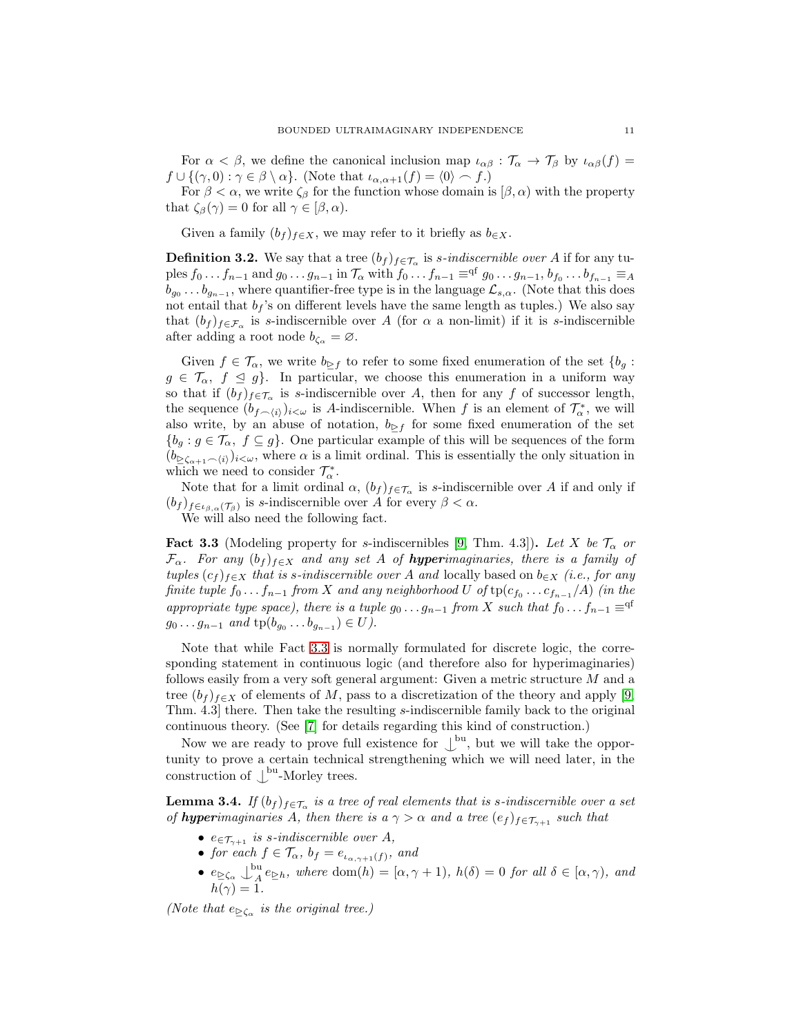For  $\alpha < \beta$ , we define the canonical inclusion map  $\iota_{\alpha\beta} : \mathcal{T}_{\alpha} \to \mathcal{T}_{\beta}$  by  $\iota_{\alpha\beta}(f) =$  $f \cup \{(\gamma, 0) : \gamma \in \beta \setminus \alpha\}.$  (Note that  $\iota_{\alpha, \alpha+1}(f) = \langle 0 \rangle \frown f.$ )

For  $\beta < \alpha$ , we write  $\zeta_{\beta}$  for the function whose domain is  $[\beta, \alpha)$  with the property that  $\zeta_{\beta}(\gamma) = 0$  for all  $\gamma \in [\beta, \alpha)$ .

Given a family  $(b_f)_{f \in X}$ , we may refer to it briefly as  $b_{\in X}$ .

**Definition 3.2.** We say that a tree  $(b_f)_{f \in \mathcal{T}_\alpha}$  is *s*-indiscernible over A if for any tuples  $f_0 \ldots f_{n-1}$  and  $g_0 \ldots g_{n-1}$  in  $\mathcal{T}_{\alpha}$  with  $f_0 \ldots f_{n-1} \equiv q^f \ g_0 \ldots g_{n-1}, b_{f_0} \ldots b_{f_{n-1}} \equiv_A$  $b_{g_0} \ldots b_{g_{n-1}}$ , where quantifier-free type is in the language  $\mathcal{L}_{s,\alpha}$ . (Note that this does not entail that  $b_f$ 's on different levels have the same length as tuples.) We also say that  $(b_f)_{f \in \mathcal{F}_{\alpha}}$  is s-indiscernible over A (for  $\alpha$  a non-limit) if it is s-indiscernible after adding a root node  $b_{\zeta_{\alpha}} = \varnothing$ .

Given  $f \in \mathcal{T}_{\alpha}$ , we write  $b_{\beta}f$  to refer to some fixed enumeration of the set  $\{b_q :$  $g \in \mathcal{T}_{\alpha}, f \leq g$ . In particular, we choose this enumeration in a uniform way so that if  $(b_f)_{f \in \mathcal{T}_{\alpha}}$  is s-indiscernible over A, then for any f of successor length, the sequence  $(b_{f\frown\langle i\rangle})_{i\leq\omega}$  is A-indiscernible. When f is an element of  $\mathcal{T}^*_{\alpha}$ , we will also write, by an abuse of notation,  $b_{\triangleright f}$  for some fixed enumeration of the set  ${b_g : g \in \mathcal{T}_{\alpha}, f \subseteq g}$ . One particular example of this will be sequences of the form  $(b_{\delta_{\alpha+1} \frown \langle i \rangle})_{i \leq \omega}$ , where  $\alpha$  is a limit ordinal. This is essentially the only situation in which we need to consider  $\mathcal{T}_{\alpha}^*$ .

Note that for a limit ordinal  $\alpha$ ,  $(b_f)_{f \in \mathcal{T}_\alpha}$  is s-indiscernible over A if and only if  $(b_f)_{f\in\iota_{\beta,\alpha}(\mathcal{T}_{\beta})}$  is s-indiscernible over A for every  $\beta<\alpha$ .

<span id="page-10-0"></span>We will also need the following fact.

**Fact 3.3** (Modeling property for s-indiscernibles [\[9,](#page-21-10) Thm. 4.3]). Let X be  $\mathcal{T}_{\alpha}$  or  $\mathcal{F}_{\alpha}$ . For any  $(b_f)_{f\in X}$  and any set A of **hyper**imaginaries, there is a family of tuples  $(c_f)_{f\in X}$  that is s-indiscernible over A and locally based on  $b_{\in X}$  (i.e., for any finite tuple  $f_0 \ldots f_{n-1}$  from  $X$  and any neighborhood  $U$  of  $\text{tp}(c_{f_0} \ldots c_{f_{n-1}}/A)$  (in the appropriate type space), there is a tuple  $g_0 \dots g_{n-1}$  from X such that  $f_0 \dots f_{n-1} \equiv q^f$  $g_0 \dots g_{n-1}$  and  $tp(b_{g_0} \dots b_{g_{n-1}}) \in U$ .

Note that while Fact [3.3](#page-10-0) is normally formulated for discrete logic, the corresponding statement in continuous logic (and therefore also for hyperimaginaries) follows easily from a very soft general argument: Given a metric structure M and a tree  $(b_f)_{f\in X}$  of elements of M, pass to a discretization of the theory and apply [\[9,](#page-21-10) Thm. 4.3] there. Then take the resulting s-indiscernible family back to the original continuous theory. (See [\[7\]](#page-21-11) for details regarding this kind of construction.)

Now we are ready to prove full existence for  $\mathcal{L}^{\mathbf{b}\mathbf{u}}$ , but we will take the opportunity to prove a certain technical strengthening which we will need later, in the construction of  $\bigcup^{\text{bu}}$ -Morley trees.

<span id="page-10-1"></span>**Lemma 3.4.** If  $(b_f)_{f \in \mathcal{T}_\alpha}$  is a tree of real elements that is s-indiscernible over a set of **hyperimaginaries** A, then there is a  $\gamma > \alpha$  and a tree  $(e_f)_{f \in \mathcal{T}_{\gamma+1}}$  such that

- $e \in \mathcal{T}_{\gamma+1}$  is s-indiscernible over A,
- for each  $f \in \mathcal{T}_{\alpha}, b_f = e_{\iota_{\alpha, \gamma+1}(f)},$  and
- $e_{\geq \zeta_{\alpha}} \bigcup_{A}^{\text{bu}}$  $A^{\mu}_{A}e_{\geq h}$ , where dom $(h) = [\alpha, \gamma + 1)$ ,  $h(\delta) = 0$  for all  $\delta \in [\alpha, \gamma)$ , and  $h(\gamma)=1.$

(Note that  $e_{\geq \zeta_{\alpha}}$  is the original tree.)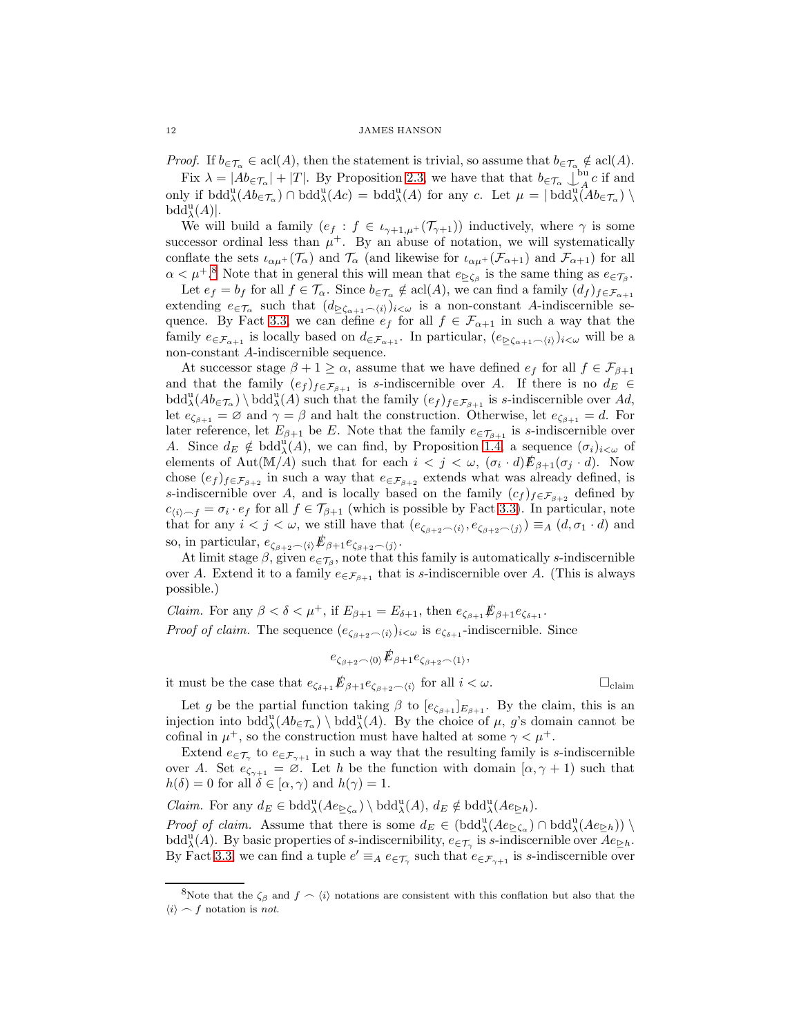*Proof.* If  $b_{\in \mathcal{T}_{\alpha}} \in \text{acl}(A)$ , then the statement is trivial, so assume that  $b_{\in \mathcal{T}_{\alpha}} \notin \text{acl}(A)$ .

Fix  $\lambda = |Ab_{\epsilon}\tau_{\alpha}| + |T|$ . By Proposition [2.3,](#page-8-1) we have that that  $b_{\epsilon}\tau_{\alpha} \downarrow^{\text{bu}}_A$  $\frac{a}{A}c$  if and only if  $\mathrm{bdd}^{\mathrm{u}}_{\lambda}(Ab_{\epsilon\mathcal{T}_{\alpha}}) \cap \mathrm{bdd}^{\mathrm{u}}_{\lambda}(Ac) = \mathrm{bdd}^{\mathrm{u}}_{\lambda}(A)$  for any c. Let  $\mu = |\mathrm{bdd}^{\mathrm{u}}_{\lambda}(Ab_{\epsilon\mathcal{T}_{\alpha}}) \setminus$  $\text{bdd}^{\text{u}}_{\lambda}(A)|.$ 

We will build a family  $(e_f : f \in \iota_{\gamma+1,\mu^+}(\mathcal{T}_{\gamma+1}))$  inductively, where  $\gamma$  is some successor ordinal less than  $\mu^+$ . By an abuse of notation, we will systematically conflate the sets  $\iota_{\alpha\mu^+}(\mathcal{T}_{\alpha})$  and  $\mathcal{T}_{\alpha}$  (and likewise for  $\iota_{\alpha\mu^+}(\mathcal{F}_{\alpha+1})$  and  $\mathcal{F}_{\alpha+1}$ ) for all  $\alpha < \mu^{+,8}$  $\alpha < \mu^{+,8}$  $\alpha < \mu^{+,8}$  Note that in general this will mean that  $e_{\geq \zeta_{\beta}}$  is the same thing as  $e_{\in \mathcal{T}_{\beta}}$ .

Let  $e_f = b_f$  for all  $f \in \mathcal{T}_{\alpha}$ . Since  $b_{\in \mathcal{T}_{\alpha}} \notin \operatorname{acl}(A)$ , we can find a family  $(d_f)_{f \in \mathcal{F}_{\alpha+1}}$ extending  $e_{\in \mathcal{T}_{\alpha}}$  such that  $(d_{\geq \zeta_{\alpha+1} \frown \langle i \rangle})_{i \leq \omega}$  is a non-constant A-indiscernible se-quence. By Fact [3.3,](#page-10-0) we can define  $e_f$  for all  $f \in \mathcal{F}_{\alpha+1}$  in such a way that the family  $e_{\in \mathcal{F}_{\alpha+1}}$  is locally based on  $d_{\in \mathcal{F}_{\alpha+1}}$ . In particular,  $(e_{\geq \zeta_{\alpha+1} \frown \langle i \rangle})_{i \leq \omega}$  will be a non-constant A-indiscernible sequence.

At successor stage  $\beta + 1 \ge \alpha$ , assume that we have defined  $e_f$  for all  $f \in \mathcal{F}_{\beta+1}$ and that the family  $(e_f)_{f \in \mathcal{F}_{\beta+1}}$  is s-indiscernible over A. If there is no  $d_E \in$  $\text{bdd}^{\text{u}}_{\lambda}(Ab_{\epsilon T_{\alpha}}) \setminus \text{bdd}^{\text{u}}_{\lambda}(A)$  such that the family  $(e_f)_{f \in \mathcal{F}_{\beta+1}}$  is s-indiscernible over Ad, let  $e_{\zeta_{\beta+1}} = \emptyset$  and  $\gamma = \beta$  and halt the construction. Otherwise, let  $e_{\zeta_{\beta+1}} = d$ . For later reference, let  $E_{\beta+1}$  be E. Note that the family  $e_{\epsilon}\tau_{\beta+1}$  is s-indiscernible over A. Since  $d_E \notin \text{bdd}_{\lambda}^{\text{u}}(A)$ , we can find, by Proposition [1.4,](#page-4-1) a sequence  $(\sigma_i)_{i \leq \omega}$  of elements of Aut(M/A) such that for each  $i < j < \omega$ ,  $(\sigma_i \cdot d) \mathcal{E}_{\beta+1}(\sigma_j \cdot d)$ . Now chose  $(e_f)_{f \in \mathcal{F}_{\beta+2}}$  in such a way that  $e_{\in \mathcal{F}_{\beta+2}}$  extends what was already defined, is s-indiscernible over A, and is locally based on the family  $(c_f)_{f \in \mathcal{F}_{\beta+2}}$  defined by  $c_{\langle i \rangle \sim f} = \sigma_i \cdot e_f$  for all  $f \in \mathcal{T}_{\beta+1}$  (which is possible by Fact [3.3\)](#page-10-0). In particular, note that for any  $i < j < \omega$ , we still have that  $(e_{\zeta_{\beta+2} \frown \langle i \rangle}, e_{\zeta_{\beta+2} \frown \langle j \rangle}) \equiv_A (d, \sigma_1 \cdot d)$  and so, in particular,  $e_{\zeta_{\beta+2} \frown \langle i \rangle} \mathbf{E}_{\beta+1} e_{\zeta_{\beta+2} \frown \langle i \rangle}$ .

At limit stage  $\beta$ , given  $e_{\in \mathcal{T}_{\beta}}$ , note that this family is automatically s-indiscernible over A. Extend it to a family  $e \in \mathcal{F}_{\beta+1}$  that is s-indiscernible over A. (This is always possible.)

*Claim.* For any  $\beta < \delta < \mu^+$ , if  $E_{\beta+1} = E_{\delta+1}$ , then  $e_{\zeta_{\beta+1}} \mathcal{F}_{\beta+1} e_{\zeta_{\delta+1}}$ . *Proof of claim.* The sequence  $(e_{\zeta_{\beta+2}-\langle i \rangle})_{i<\omega}$  is  $e_{\zeta_{\delta+1}}$ -indiscernible. Since

$$
e_{\zeta_{\beta+2} \frown \langle 0 \rangle} \mathcal{L}_{\beta+1} e_{\zeta_{\beta+2} \frown \langle 1 \rangle},
$$

it must be the case that  $e_{\zeta_{\delta+1}} \not\!\!E_{\beta+1} e_{\zeta_{\beta+2} \frown \langle i \rangle}$  for all  $i < \omega$ .

Let g be the partial function taking  $\beta$  to  $[e_{\zeta_{\beta+1}}]_{E_{\beta+1}}$ . By the claim, this is an injection into  $\text{bdd}^{\text{u}}_{\lambda}(Ab_{\epsilon T_{\alpha}}) \setminus \text{bdd}^{\text{u}}_{\lambda}(A)$ . By the choice of  $\mu$ , g's domain cannot be cofinal in  $\mu^+$ , so the construction must have halted at some  $\gamma < \mu^+$ .

Extend  $e_{\in \mathcal{T}_{\gamma}}$  to  $e_{\in \mathcal{F}_{\gamma+1}}$  in such a way that the resulting family is s-indiscernible over A. Set  $e_{\zeta_{\gamma+1}} = \emptyset$ . Let h be the function with domain  $[\alpha, \gamma + 1]$  such that  $h(\delta) = 0$  for all  $\delta \in [\alpha, \gamma)$  and  $h(\gamma) = 1$ .

Claim. For any  $d_E \in \text{bdd}^{\text{u}}_{\lambda}(Ae_{\geq \zeta_{\alpha}}) \setminus \text{bdd}^{\text{u}}_{\lambda}(A), d_E \notin \text{bdd}^{\text{u}}_{\lambda}(Ae_{\geq h}).$ 

Proof of claim. Assume that there is some  $d_E \in (\text{bdd}_{\lambda}^{\text{u}}(Ae_{\geq \zeta_{\alpha}}) \cap \text{bdd}_{\lambda}^{\text{u}}(Ae_{\geq h}))$ bdd<sup>u</sup>(A). By basic properties of s-indiscernibility,  $e_{\in \mathcal{T}_{\gamma}}$  is s-indiscernible over  $Ae_{\geq h}$ . By Fact [3.3,](#page-10-0) we can find a tuple  $e' \equiv_A e \in \tau_\gamma$  such that  $e \in \mathcal{F}_{\gamma+1}$  is s-indiscernible over

<span id="page-11-0"></span><sup>&</sup>lt;sup>8</sup>Note that the  $\zeta_{\beta}$  and  $f \sim \langle i \rangle$  notations are consistent with this conflation but also that the  $\langle i \rangle \frown f$  notation is *not*.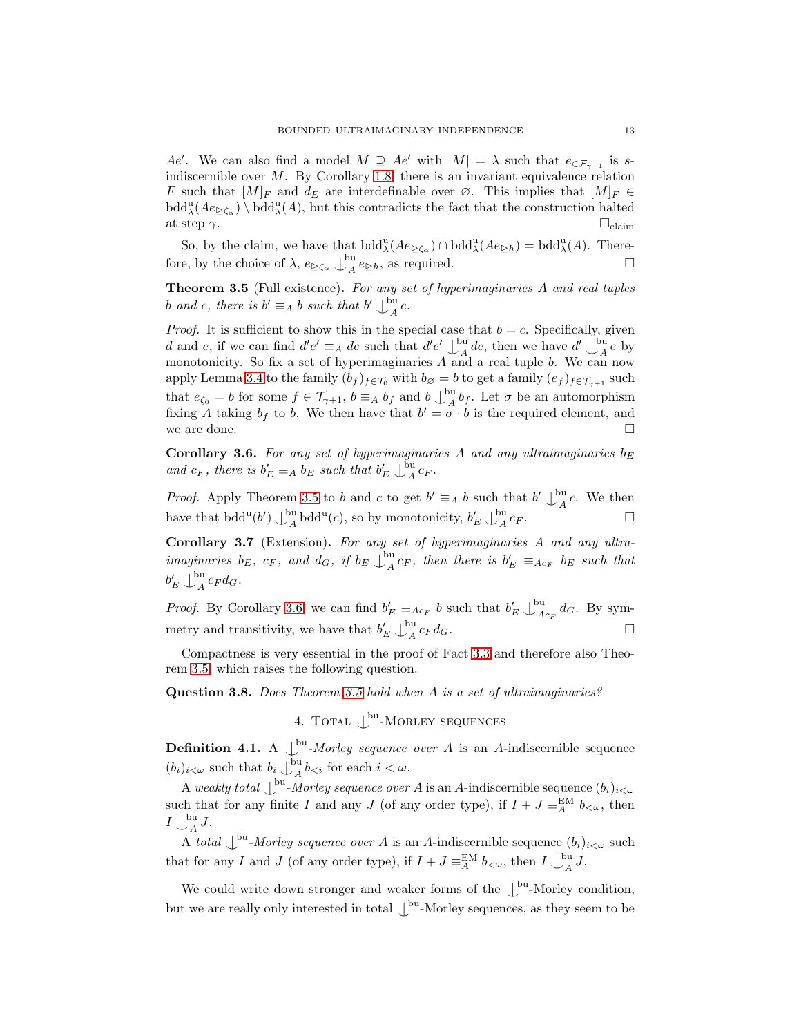Ae'. We can also find a model  $M \supseteq Ae'$  with  $|M| = \lambda$  such that  $e_{\in \mathcal{F}_{\gamma+1}}$  is sindiscernible over  $M$ . By Corollary [1.8,](#page-5-1) there is an invariant equivalence relation F such that  $[M]_F$  and  $d_E$  are interdefinable over  $\varnothing$ . This implies that  $[M]_F \in$  $\text{bdd}^{\text{u}}_{\lambda}(Ae_{\geq\zeta_{\alpha}})\setminus\text{bdd}^{\text{u}}_{\lambda}(A)$ , but this contradicts the fact that the construction halted at step  $\gamma$ .  $\Box$ <sub>claim</sub>

So, by the claim, we have that  $\text{bdd}^{\text{u}}_{\lambda}(Ae_{\geq \zeta_{\alpha}}) \cap \text{bdd}^{\text{u}}_{\lambda}(Ae_{\geq h}) = \text{bdd}^{\text{u}}_{\lambda}(A)$ . Therefore, by the choice of  $\lambda$ ,  $e_{\geq \zeta_{\alpha}} \bigcup_{A}^{\text{bu}}$  $A^{\text{ou}}e_{\geq h}$ , as required.

<span id="page-12-0"></span>Theorem 3.5 (Full existence). For any set of hyperimaginaries A and real tuples b and c, there is  $b' \equiv_A b$  such that  $b' \bigcup_A^{\text{bu}}$  $A^{\text{u}}$ c.

*Proof.* It is sufficient to show this in the special case that  $b = c$ . Specifically, given d and e, if we can find  $d'e' \equiv_A de$  such that  $d'e' \bigcup_A^{\text{bu}}$  $A^{\text{out}}_A$  de, then we have  $d' \downarrow^{\text{bu}}_A$  $A^{\mu}$ e by monotonicity. So fix a set of hyperimaginaries  $A$  and a real tuple  $b$ . We can now apply Lemma [3.4](#page-10-1) to the family  $(b_f)_{f \in \mathcal{T}_0}$  with  $b_\emptyset = b$  to get a family  $(e_f)_{f \in \mathcal{T}_{\gamma+1}}$  such that  $e_{\zeta_0} = b$  for some  $f \in \mathcal{T}_{\gamma+1}$ ,  $b \equiv_A b_f$  and  $b \downarrow_A^{\text{bu}}$  $_{A}^{\text{ou}}b_f$ . Let  $\sigma$  be an automorphism fixing A taking  $b_f$  to b. We then have that  $b' = \sigma \cdot b$  is the required element, and we are done.

<span id="page-12-1"></span>Corollary 3.6. For any set of hyperimaginaries A and any ultraimaginaries  $b_E$ and  $c_F$ , there is  $b'_E \equiv_A b_E$  such that  $b'_E \downarrow_A^{\text{bu}}$  $A^{u}$ <sub> $A$ </sub> $c_F$ .

*Proof.* Apply Theorem [3.5](#page-12-0) to b and c to get  $b' \equiv_A b$  such that  $b' \perp_A^{\text{bu}}$  $A^{\mu}$ c. We then have that  $\text{bdd}^{\text{u}}(b') \bigcup_{A}^{\text{bu}}$  $_{A}^{\text{ou}}$  bdd<sup>u</sup>(*c*), so by monotonicity,  $b_{E}^{\prime} \downarrow_{A}^{\text{bu}}$  $A^{cu}$   $c_F$ .

Corollary 3.7 (Extension). For any set of hyperimaginaries A and any ultraimaginaries  $b_E$ ,  $c_F$ , and  $d_G$ , if  $b_E \bigcup_{A}^{\text{bu}}$  $A_{A}^{(0)}c_{F}$ , then there is  $b_{E}' \equiv_{Ac_{F}} b_{E}$  such that  $b_E' \bigcup_{A}^{\text{bu}}$  $\int_A^{\infty} c_F d_G$ .

*Proof.* By Corollary [3.6,](#page-12-1) we can find  $b'_E \equiv_{Ac_F} b$  such that  $b'_E \downarrow_A^{\text{bu}}$  $\int_{Ac_F}^{W} dG$ . By symmetry and transitivity, we have that  $b'_E \downarrow_A^{\text{bu}}$  $A^{\text{ou}}$   $c_F d_G$ .

Compactness is very essential in the proof of Fact [3.3](#page-10-0) and therefore also Theorem [3.5,](#page-12-0) which raises the following question.

Question 3.8. Does Theorem [3.5](#page-12-0) hold when A is a set of ultraimaginaries?

4. TOTAL  $\bigcup^{\text{bu}}$ -MORLEY SEQUENCES

**Definition 4.1.** A  $\bigcup_{k=1}^{\infty}$  *Morley sequence over A* is an *A*-indiscernible sequence  $(b_i)_{i < \omega}$  such that  $b_i \downarrow_A^{\text{bu}}$  $\int_A^{\infty} b_{\leq i}$  for each  $i < \omega$ .

A weakly total  $\bigcup_{\alpha}^{\text{bu}}$ -Morley sequence over A is an A-indiscernible sequence  $(b_i)_{i<\omega}$ such that for any finite I and any J (of any order type), if  $I + J \equiv_A^{\text{EM}} b_{\lt \omega}$ , then  $I \bigcup_{A}^{\text{bu}}$  $\int_A^{\infty} J.$ 

A total  $\bigcup_{i=1}^{\infty}$  *Morley sequence over* A is an A-indiscernible sequence  $(b_i)_{i \leq \omega}$  such that for any I and J (of any order type), if  $I + J \equiv^{\text{EM}}_A b_{\lt \omega}$ , then  $I \downarrow^{\text{bu}}_A$  $\mathcal{A}^{(1)}$  J.

We could write down stronger and weaker forms of the  $\mathcal{L}^{\text{bu}}$ -Morley condition, but we are really only interested in total  $\bigcup^{\text{bu}}$ -Morley sequences, as they seem to be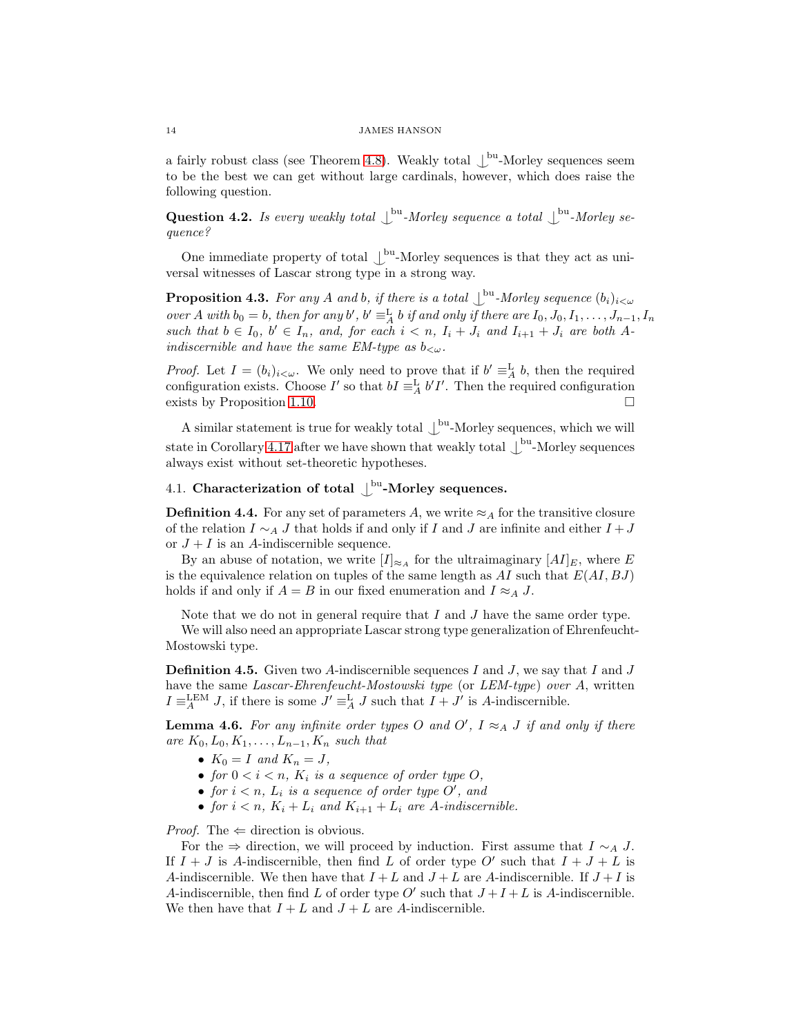a fairly robust class (see Theorem [4.8\)](#page-14-0). Weakly total  $\bigcup^{\text{bu}}$ -Morley sequences seem to be the best we can get without large cardinals, however, which does raise the following question.

Question 4.2. Is every weakly total  $\int^{bu}$ -Morley sequence a total  $\int^{bu}$ -Morley sequence?

<span id="page-13-1"></span>One immediate property of total  $\bigcup^{\text{bu}}$ -Morley sequences is that they act as universal witnesses of Lascar strong type in a strong way.

**Proposition 4.3.** For any A and b, if there is a total  $\int_{-\infty}^{\infty}$ -Morley sequence  $(b_i)_{i<\omega}$ over A with  $b_0 = b$ , then for any b',  $b' \equiv_A^L b$  if and only if there are  $I_0, J_0, I_1, \ldots, J_{n-1}, I_n$ such that  $b \in I_0$ ,  $b' \in I_n$ , and, for each  $i < n$ ,  $I_i + J_i$  and  $I_{i+1} + J_i$  are both Aindiscernible and have the same EM-type as  $b_{\leq \omega}$ .

*Proof.* Let  $I = (b_i)_{i \leq \omega}$ . We only need to prove that if  $b' \equiv_A^L b$ , then the required configuration exists. Choose I' so that  $bI \equiv_A^L b'I'$ . Then the required configuration exists by Proposition [1.10.](#page-6-0)

A similar statement is true for weakly total  $\bigcup^{\text{bu}}$ -Morley sequences, which we will state in Corollary [4.17](#page-18-1) after we have shown that weakly total  $\bigcup^{\text{bu}}$ -Morley sequences always exist without set-theoretic hypotheses.

# 4.1. Characterization of total  $\int_{0}^{\text{bu}}$ -Morley sequences.

**Definition 4.4.** For any set of parameters A, we write  $\approx_A$  for the transitive closure of the relation  $I \sim_A J$  that holds if and only if I and J are infinite and either  $I + J$ or  $J + I$  is an A-indiscernible sequence.

By an abuse of notation, we write  $[I]_{\approx_A}$  for the ultraimaginary  $[AI]_E$ , where E is the equivalence relation on tuples of the same length as  $AI$  such that  $E(AI, BJ)$ holds if and only if  $A = B$  in our fixed enumeration and  $I \approx_A J$ .

Note that we do not in general require that  $I$  and  $J$  have the same order type.

<span id="page-13-0"></span>We will also need an appropriate Lascar strong type generalization of Ehrenfeucht-Mostowski type.

**Definition 4.5.** Given two A-indiscernible sequences I and J, we say that I and J have the same Lascar-Ehrenfeucht-Mostowski type (or LEM-type) over A, written  $I \equiv_A^{\text{LEM}} J$ , if there is some  $J' \equiv_A^{\text{L}} J$  such that  $I + J'$  is A-indiscernible.

<span id="page-13-2"></span>**Lemma 4.6.** For any infinite order types O and O',  $I \approx_A J$  if and only if there are  $K_0, L_0, K_1, \ldots, L_{n-1}, K_n$  such that

- $K_0 = I$  and  $K_n = J$ ,
- for  $0 < i < n$ ,  $K_i$  is a sequence of order type O,
- for  $i < n$ ,  $L_i$  is a sequence of order type  $O'$ , and
- for  $i < n$ ,  $K_i + L_i$  and  $K_{i+1} + L_i$  are A-indiscernible.

*Proof.* The  $\Leftarrow$  direction is obvious.

For the  $\Rightarrow$  direction, we will proceed by induction. First assume that  $I \sim_A J$ . If  $I + J$  is A-indiscernible, then find L of order type O' such that  $I + J + L$  is A-indiscernible. We then have that  $I + L$  and  $J + L$  are A-indiscernible. If  $J + I$  is A-indiscernible, then find L of order type O' such that  $J+I+L$  is A-indiscernible. We then have that  $I + L$  and  $J + L$  are A-indiscernible.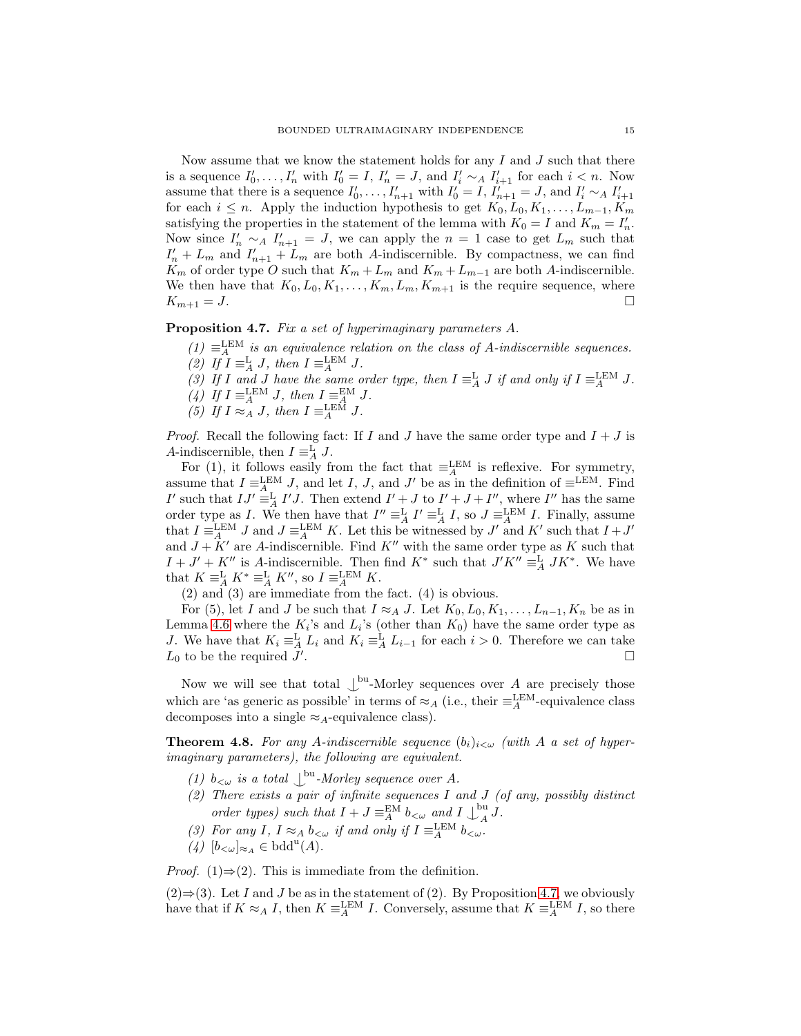Now assume that we know the statement holds for any  $I$  and  $J$  such that there is a sequence  $I'_0, \ldots, I'_n$  with  $I'_0 = I$ ,  $I'_n = J$ , and  $I'_i \sim_A I'_{i+1}$  for each  $i < n$ . Now assume that there is a sequence  $I'_0, \ldots, I'_{n+1}$  with  $I'_0 = I$ ,  $I'_{n+1} = J$ , and  $I'_i \sim_A I'_{i+1}$ for each  $i \leq n$ . Apply the induction hypothesis to get  $K_0, L_0, K_1, \ldots, L_{m-1}, K_m$ satisfying the properties in the statement of the lemma with  $K_0 = I$  and  $K_m = I'_n$ . Now since  $I'_n \sim_A I'_{n+1} = J$ , we can apply the  $n = 1$  case to get  $L_m$  such that  $I'_n + L_m$  and  $I'_{n+1} + L_m$  are both A-indiscernible. By compactness, we can find  $K_m$  of order type O such that  $K_m + L_m$  and  $K_m + L_{m-1}$  are both A-indiscernible. We then have that  $K_0, L_0, K_1, \ldots, K_m, L_m, K_{m+1}$  is the require sequence, where  $K_{m+1} = J.$ 

<span id="page-14-1"></span>Proposition 4.7. Fix a set of hyperimaginary parameters A.

- $(1) \equiv_A^{\text{LEM}}$  is an equivalence relation on the class of A-indiscernible sequences. (2) If  $I \equiv_A^{\mathcal{L}} J$ , then  $I \equiv_A^{\mathcal{L}EM} J$ .
- (3) If I and J have the same order type, then  $I \equiv_A^{\mathbb{L}} J$  if and only if  $I \equiv_A^{\mathbb{LEM}} J$ .
- (4) If  $I \equiv_A^{\text{LEM}} J$ , then  $I \equiv_A^{\text{EM}} J$ .
- (5) If  $I \approx_A J$ , then  $I \equiv_A^{\text{LEM}} J$ .

*Proof.* Recall the following fact: If I and J have the same order type and  $I + J$  is A-indiscernible, then  $I \equiv_A^{\mathbf{L}} J$ .

For (1), it follows easily from the fact that  $\equiv_A^{\text{LEM}}$  is reflexive. For symmetry, assume that  $I \equiv_{A_{-}}^{LEM} J$ , and let I, J, and J' be as in the definition of  $\equiv^{LEM}$ . Find I' such that  $IJ' \equiv^{\mathbb{L}}_{A} I'J$ . Then extend  $I' + J$  to  $I' + J + I''$ , where I'' has the same order type as I. We then have that  $I'' \equiv_A^L I' \equiv_A^L I$ , so  $J \equiv_A^{LEM} I$ . Finally, assume that  $I \equiv_A^{\text{LEM}} J$  and  $J \equiv_A^{\text{LEM}} K$ . Let this be witnessed by  $J'$  and  $K'$  such that  $I + J'$ and  $J + K'$  are A-indiscernible. Find  $K''$  with the same order type as K such that  $I + J' + K''$  is A-indiscernible. Then find  $K^*$  such that  $J'K'' \equiv_A^L JK^*$ . We have that  $K \equiv^{\mathbf{L}}_A K^* \equiv^{\mathbf{L}}_A K''$ , so  $I \equiv^{\mathbf{LEM}}_A K$ .

(2) and (3) are immediate from the fact. (4) is obvious.

For (5), let I and J be such that  $I \approx_A J$ . Let  $K_0, L_0, K_1, \ldots, L_{n-1}, K_n$  be as in Lemma [4.6](#page-13-2) where the  $K_i$ 's and  $L_i$ 's (other than  $K_0$ ) have the same order type as J. We have that  $K_i \equiv_A^L L_i$  and  $K_i \equiv_A^L L_{i-1}$  for each  $i > 0$ . Therefore we can take  $L_0$  to be the required  $J'$ . В последните поставите на селото на селото на селото на селото на селото на селото на селото на селото на се<br>Селото на селото на селото на селото на селото на селото на селото на селото на селото на селото на селото на

Now we will see that total  $\bigcup^{\text{bu}}$ -Morley sequences over A are precisely those which are 'as generic as possible' in terms of  $\approx_A$  (i.e., their  $\equiv_A^{\text{LEM}}$ -equivalence class decomposes into a single  $\approx_A$ -equivalence class).

<span id="page-14-0"></span>**Theorem 4.8.** For any A-indiscernible sequence  $(b_i)_{i\leq w}$  (with A a set of hyperimaginary parameters), the following are equivalent.

- (1)  $b_{\leq \omega}$  is a total  $\bigcup^{\text{bu}}$ -Morley sequence over A.
- (2) There exists a pair of infinite sequences  $I$  and  $J$  (of any, possibly distinct order types) such that  $I + J \equiv_A^{\text{EM}} b_{\lt \omega}$  and  $I \downarrow_A^{\text{bu}}$  $\int_A^{\mathfrak{u}} J.$
- (3) For any I,  $I \approx_A b_{< \omega}$  if and only if  $I \equiv_A^{\text{LEM}} b_{< \omega}$ .
- (4)  $[b_{<\omega}]_{\approx_A} \in \text{bdd}^u(A)$ .

*Proof.* (1) $\Rightarrow$ (2). This is immediate from the definition.

 $(2) \Rightarrow (3)$ . Let I and J be as in the statement of (2). By Proposition [4.7,](#page-14-1) we obviously have that if  $K \approx_A I$ , then  $K \equiv_A^{\text{LEM}} I$ . Conversely, assume that  $K \equiv_A^{\text{LEM}} I$ , so there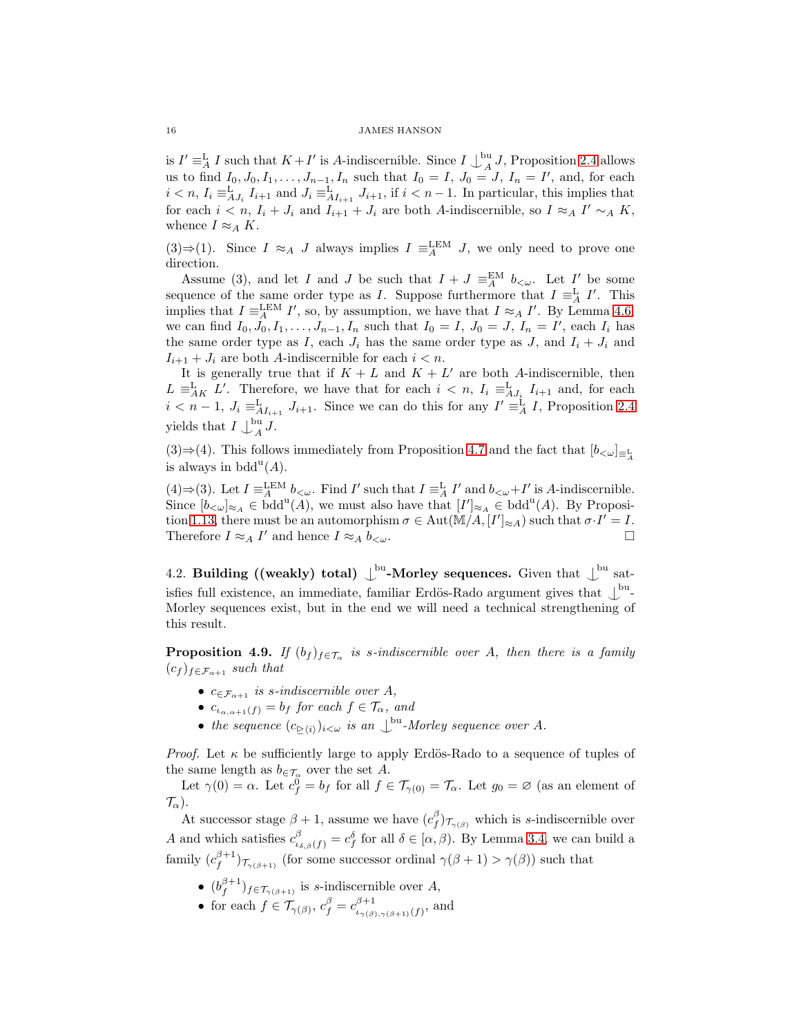is  $I' \equiv^{\mathcal{L}}_A I$  such that  $K + I'$  is A-indiscernible. Since  $I \bigcup_{A}^{\text{bu}}$  $\frac{d}{d}$ , Proposition [2.4](#page-8-0) allows us to find  $I_0, J_0, I_1, \ldots, J_{n-1}, I_n$  such that  $I_0 = I, J_0 = J, I_n = I'$ , and, for each  $i < n$ ,  $I_i \equiv^{\mathbf{L}}_{A J_i} I_{i+1}$  and  $J_i \equiv^{\mathbf{L}}_{A I_{i+1}} J_{i+1}$ , if  $i < n-1$ . In particular, this implies that for each  $i < n$ ,  $I_i + J_i$  and  $I_{i+1} + J_i$  are both A-indiscernible, so  $I \approx_A I' \sim_A K$ , whence  $I \approx_A K$ .

(3)⇒(1). Since  $I \approx_A J$  always implies  $I \equiv_A^{\text{LEM}} J$ , we only need to prove one direction.

Assume (3), and let I and J be such that  $I + J \equiv_A^{\text{EM}} b_{\lt \omega}$ . Let I' be some sequence of the same order type as I. Suppose furthermore that  $I \equiv_A^L I'$ . This implies that  $I \equiv_A^{\text{LEM}} I'$ , so, by assumption, we have that  $I \approx_A I'$ . By Lemma [4.6,](#page-13-2) we can find  $I_0, J_0, I_1, \ldots, J_{n-1}, I_n$  such that  $I_0 = I, J_0 = J, I_n = I'$ , each  $I_i$  has the same order type as I, each  $J_i$  has the same order type as  $J$ , and  $I_i + J_i$  and  $I_{i+1} + J_i$  are both A-indiscernible for each  $i < n$ .

It is generally true that if  $K + L$  and  $K + L'$  are both A-indiscernible, then  $L \equiv_{AK}^{\text{L}} L'$ . Therefore, we have that for each  $i < n$ ,  $I_i \equiv_{AJ_i}^{\text{L}} I_{i+1}$  and, for each  $i < n-1$ ,  $J_i \equiv^{\mathbf{L}}_{AI_{i+1}} J_{i+1}$ . Since we can do this for any  $I' \equiv^{\mathbf{L}}_{A} I$ , Proposition [2.4](#page-8-0) yields that  $I \bigcup_{A}^{bu}$  $\int_A^{\infty} J.$ 

(3)⇒(4). This follows immediately from Proposition [4.7](#page-14-1) and the fact that  $[b_{< \omega}]_{\equiv^{\underline{L}}_A}$ is always in  $bdd^u(A)$ .

(4)⇒(3). Let  $I \equiv_A^{\text{LEM}} b_{\leq \omega}$ . Find  $I'$  such that  $I \equiv_A^{\text{L}} I'$  and  $b_{\leq \omega} + I'$  is A-indiscernible. Since  $[b_{\lt \omega}]_{\approx_A} \in \text{bdd}^u(A)$ , we must also have that  $[I']_{\approx_A} \in \text{bdd}^u(A)$ . By Proposi-tion [1.13,](#page-7-1) there must be an automorphism  $\sigma \in \text{Aut}(\mathbb{M}/A, [I']_{\approx A})$  such that  $\sigma I' = I$ . Therefore  $I \approx_A I'$  and hence  $I \approx_A b_{< \omega}$ .

4.2. Building ((weakly) total)  $\bigcup^{\text{bu}}$ -Morley sequences. Given that  $\bigcup^{\text{bu}}$  satisfies full existence, an immediate, familiar Erdös-Rado argument gives that  $\downarrow^{\text{bu}}$ Morley sequences exist, but in the end we will need a technical strengthening of this result.

<span id="page-15-0"></span>**Proposition 4.9.** If  $(b_f)_{f \in \mathcal{T}_{\alpha}}$  is s-indiscernible over A, then there is a family  $(c_f)_{f \in \mathcal{F}_{\alpha+1}}$  such that

- $c_{\in \mathcal{F}_{\alpha+1}}$  is s-indiscernible over A,
- $c_{\iota_{\alpha} \alpha + 1}(f) = b_f$  for each  $f \in \mathcal{T}_{\alpha}$ , and
- the sequence  $(c_{\geq \langle i \rangle})_{i < \omega}$  is an  $\bigcup^{\text{bu}}$ -Morley sequence over A.

*Proof.* Let  $\kappa$  be sufficiently large to apply Erdös-Rado to a sequence of tuples of the same length as  $b_{\in \mathcal{T}_{\alpha}}$  over the set A.

Let  $\gamma(0) = \alpha$ . Let  $c_f^0 = b_f$  for all  $f \in \mathcal{T}_{\gamma(0)} = \mathcal{T}_{\alpha}$ . Let  $g_0 = \varnothing$  (as an element of  $\mathcal{T}_{\alpha}$ ).

At successor stage  $\beta + 1$ , assume we have  $(c_f^{\beta})_{\tau_{\gamma(\beta)}}$  which is s-indiscernible over A and which satisfies  $c_{\iota_{\delta,\beta}(f)}^{\beta} = c_f^{\delta}$  for all  $\delta \in [\alpha, \beta)$ . By Lemma [3.4,](#page-10-1) we can build a family  $(c_f^{\beta+1})_{\mathcal{T}_{\gamma(\beta+1)}}$  (for some successor ordinal  $\gamma(\beta+1) > \gamma(\beta)$ ) such that

- $(b_f^{\beta+1})_{f \in \mathcal{T}_{\gamma(\beta+1)}}$  is *s*-indiscernible over *A*,
- for each  $f \in \mathcal{T}_{\gamma(\beta)}, c_f^{\beta} = c_{\iota_{\gamma(\beta)}}^{\beta+1}$  $\iota_{\gamma(\beta),\gamma(\beta+1)}(f)$ , and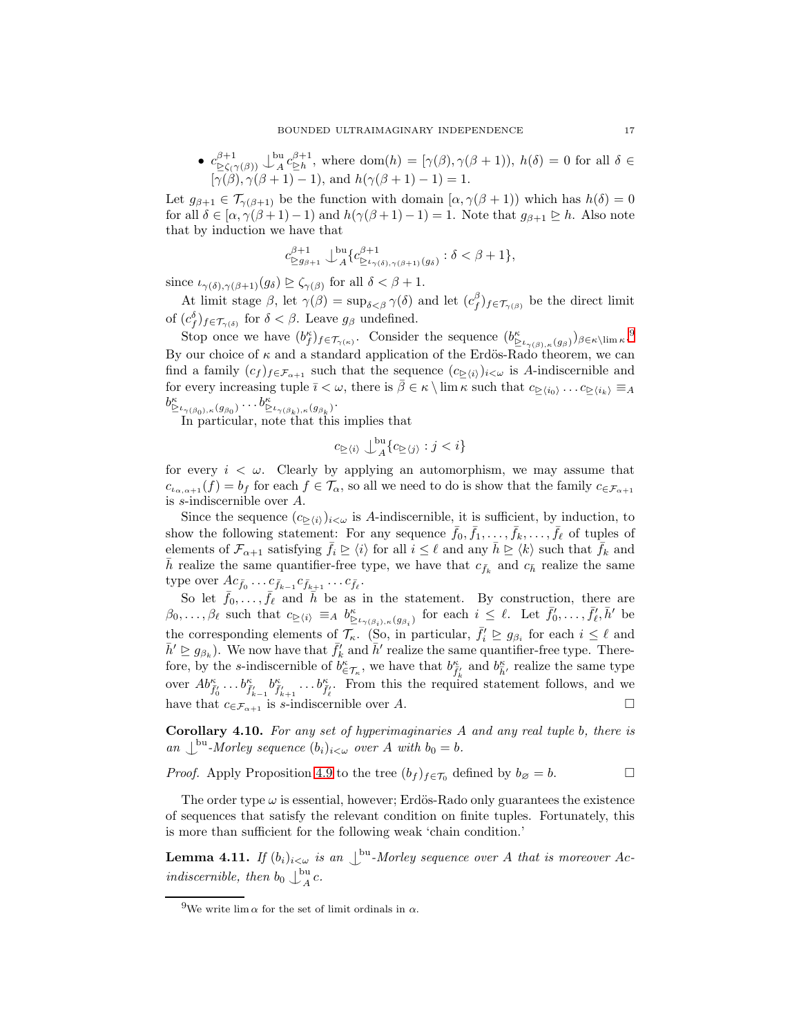•  $c_{\geq \zeta(\gamma(\beta))}^{\beta+1} \downarrow_A^{\text{bu}}$  $A^{(1)} \in A^{\alpha} \in \mathbb{R}^{n+1}$ , where dom $(h) = [\gamma(\beta), \gamma(\beta+1)), h(\delta) = 0$  for all  $\delta \in \mathbb{R}^{n+1}$  $[\gamma(\beta), \gamma(\beta+1)-1]$ , and  $h(\gamma(\beta+1)-1)=1$ .

Let  $g_{\beta+1} \in \mathcal{T}_{\gamma(\beta+1)}$  be the function with domain  $[\alpha, \gamma(\beta+1))$  which has  $h(\delta) = 0$ for all  $\delta \in [\alpha, \gamma(\beta+1)-1)$  and  $h(\gamma(\beta+1)-1)=1$ . Note that  $g_{\beta+1} \geq h$ . Also note that by induction we have that

$$
c^{\beta+1}_{\geq g_{\beta+1}}\ \bigcup_{A}^{\text{bu}}\{c^{\beta+1}_{\geq \iota_{\gamma(\delta),\gamma(\beta+1)}(g_{\delta})}: \delta<\beta+1\},
$$

since  $\iota_{\gamma(\delta),\gamma(\beta+1)}(g_{\delta}) \trianglerighteq \zeta_{\gamma(\beta)}$  for all  $\delta < \beta+1$ .

At limit stage  $\beta$ , let  $\gamma(\beta) = \sup_{\delta \leq \beta} \gamma(\delta)$  and let  $(c_f^{\beta})_{f \in \mathcal{T}_{\gamma(\beta)}}$  be the direct limit of  $(c_j^{\delta})_{f \in \mathcal{T}_{\gamma(\delta)}}$  for  $\delta < \beta$ . Leave  $g_\beta$  undefined.

Stop once we have  $(b_f^{\kappa})_{f \in \mathcal{T}_{\gamma(\kappa)}}$ . Consider the sequence  $(b_{\geq \iota_{\gamma(\beta)}, \kappa}(g_{\beta}))_{\beta \in \kappa \setminus \lim \kappa}$ .<sup>[9](#page-16-0)</sup> By our choice of  $\kappa$  and a standard application of the Erdös-Rado theorem, we can find a family  $(c_f)_{f \in \mathcal{F}_{\alpha+1}}$  such that the sequence  $(c_{\triangleright(i)})_{i \lt \omega}$  is A-indiscernible and for every increasing tuple  $\bar{\imath} < \omega$ , there is  $\bar{\beta} \in \kappa \setminus \lim \kappa$  such that  $c_{\geq \langle i_0 \rangle} \dots c_{\geq \langle i_k \rangle} \equiv_A$  $b^{\kappa}_{\geq \iota_{\gamma(\beta_0),\kappa}(g_{\beta_0})}\ldots b^{\kappa}_{\geq \iota_{\gamma(\beta_k),\kappa}(g_{\beta_k})}.$ 

In particular, note that this implies that

$$
c_{\geq \langle i \rangle} \bigcup_{A}^{\mathrm{bu}} \{ c_{\geq \langle j \rangle} : j < i \}
$$

for every  $i < \omega$ . Clearly by applying an automorphism, we may assume that  $c_{\iota_{\alpha,\alpha+1}}(f) = b_f$  for each  $f \in \mathcal{T}_{\alpha}$ , so all we need to do is show that the family  $c_{\in \mathcal{F}_{\alpha+1}}$ is s-indiscernible over A.

Since the sequence  $(c_{\geq i})_{i<\omega}$  is A-indiscernible, it is sufficient, by induction, to show the following statement: For any sequence  $\bar{f}_0, \bar{f}_1, \ldots, \bar{f}_k, \ldots, \bar{f}_\ell$  of tuples of elements of  $\mathcal{F}_{\alpha+1}$  satisfying  $\bar{f}_i \trianglerighteq \langle i \rangle$  for all  $i \leq \ell$  and any  $\bar{h} \trianglerighteq \langle k \rangle$  such that  $\bar{f}_k$  and  $\bar{h}$  realize the same quantifier-free type, we have that  $c_{\bar{f}_k}$  and  $c_{\bar{h}}$  realize the same type over  $Ac_{\bar{f}_0}\ldots c_{\bar{f}_{k-1}}c_{\bar{f}_{k+1}}\ldots c_{\bar{f}_{\ell}}.$ 

So let  $\bar{f}_0, \ldots, \bar{f}_\ell$  and  $\bar{h}$  be as in the statement. By construction, there are  $\beta_0,\ldots,\beta_\ell$  such that  $c_{\geq\langle i\rangle} \equiv_A b^{\kappa}_{\geq \iota_{\gamma(\beta_i),\kappa}(g_{\beta_i})}$  for each  $i \leq \ell$ . Let  $\bar{f}'_0,\ldots,\bar{f}'_{\ell},\bar{h}'$  be the corresponding elements of  $\mathcal{T}_{\kappa}$ . (So, in particular,  $\bar{f}'_i \geq g_{\beta_i}$  for each  $i \leq \ell$  and  $\bar{h}' \geq g_{\beta_k}$ ). We now have that  $\bar{f}'_k$  and  $\bar{h}'$  realize the same quantifier-free type. Therefore, by the s-indiscernible of  $b^{\kappa}_{\in \mathcal{T}_{\kappa}}$ , we have that  $b^{\kappa}_{\tilde{f}'_k}$  and  $b^{\kappa}_{\tilde{h}'}$  realize the same type over  $Ab^{\kappa}_{\bar{f}'_0} \ldots b^{\kappa}_{\bar{f}'_{k-1}} b^{\kappa}_{\bar{f}'_{k+1}} \ldots b^{\kappa}_{\bar{f}'_{\ell}}$ . From this the required statement follows, and we have that  $c_{\in \mathcal{F}_{\alpha+1}}$  is s-indiscernible over A.

Corollary 4.10. For any set of hyperimaginaries A and any real tuple b, there is an  $\bigcup^{\text{bu}}$ -Morley sequence  $(b_i)_{i<\omega}$  over A with  $b_0 = b$ .

*Proof.* Apply Proposition [4.9](#page-15-0) to the tree  $(b_f)_{f \in \mathcal{T}_0}$  defined by  $b_{\emptyset} = b$ .

The order type  $\omega$  is essential, however; Erdös-Rado only guarantees the existence of sequences that satisfy the relevant condition on finite tuples. Fortunately, this is more than sufficient for the following weak 'chain condition.'

<span id="page-16-1"></span>**Lemma 4.11.** If  $(b_i)_{i \leq \omega}$  is an  $\bigcup^{\text{bu}}$ -Morley sequence over A that is moreover Acindiscernible, then  $b_0 \bigcup_{A}^{bu}$  $A^{\mathbf{u}}$ c.

<span id="page-16-0"></span><sup>&</sup>lt;sup>9</sup>We write lim  $\alpha$  for the set of limit ordinals in  $\alpha$ .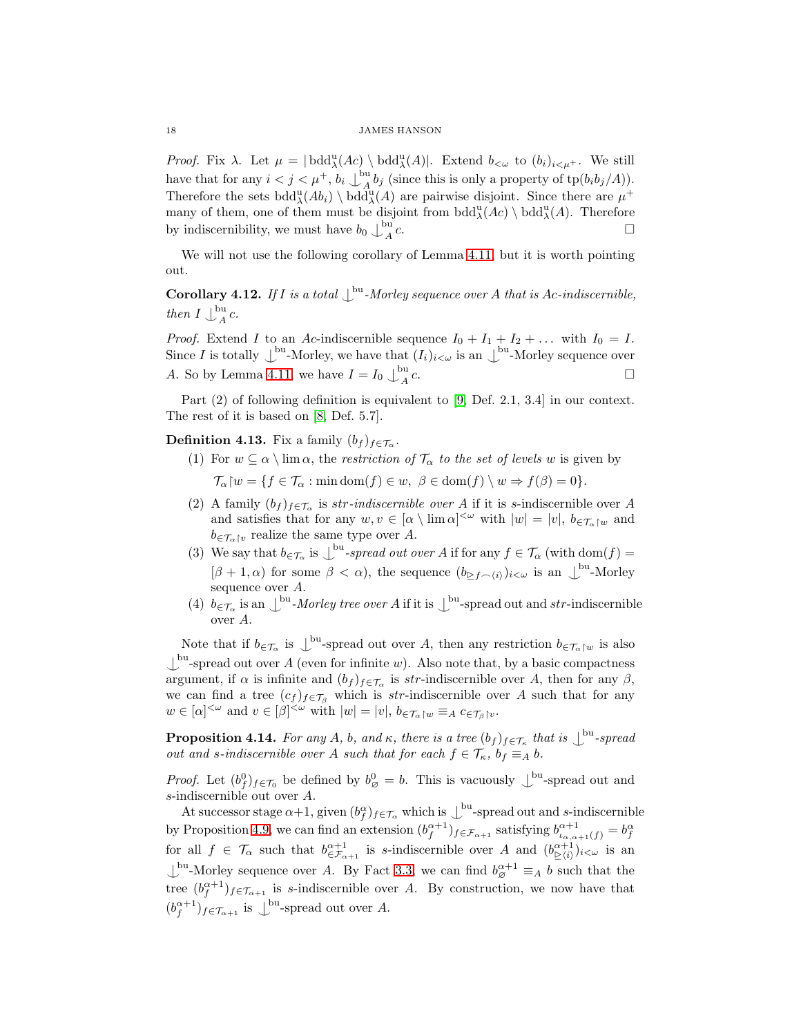Proof. Fix  $\lambda$ . Let  $\mu = |\text{bdd}^{\text{u}}_{\lambda}(Ac) \setminus \text{bdd}^{\text{u}}_{\lambda}(A)|$ . Extend  $b_{<\omega}$  to  $(b_i)_{i<\mu^+}$ . We still have that for any  $i < j < \mu^+$ ,  $b_i \bigcup_{A}^{\text{bu}}$  $A_A^{\text{out}}$  b<sub>j</sub> (since this is only a property of tp $(b_i b_j/A)$ ). Therefore the sets  $\text{bdd}^{\text{u}}_{\lambda}(Ab_i) \setminus \text{bdd}^{\text{u}}_{\lambda}(A)$  are pairwise disjoint. Since there are  $\mu^+$ many of them, one of them must be disjoint from  $\text{bdd}^{\text{u}}_{\lambda}(Ac) \setminus \text{bdd}^{\text{u}}_{\lambda}(A)$ . Therefore by indiscernibility, we must have  $b_0 \int_{A}^{bu}$ A  $c.$ 

We will not use the following corollary of Lemma [4.11,](#page-16-1) but it is worth pointing out.

**Corollary 4.12.** If I is a total  $\bigcup^{\text{bu}}$ -Morley sequence over A that is Ac-indiscernible, then  $I \bigcup_{A}^{bu}$  $A^{\mu}$ c.

*Proof.* Extend I to an Ac-indiscernible sequence  $I_0 + I_1 + I_2 + \dots$  with  $I_0 = I$ . Since I is totally  $\bigcup^{\text{bu}}$ -Morley, we have that  $(I_i)_{i<\omega}$  is an  $\bigcup^{\text{bu}}$ -Morley sequence over A. So by Lemma [4.11,](#page-16-1) we have  $I = I_0 \bigcup_{A}^{\text{bu}}$ A c.  $\Box$ 

Part (2) of following definition is equivalent to [\[9,](#page-21-10) Def. 2.1, 3.4] in our context. The rest of it is based on [\[8,](#page-21-5) Def. 5.7].

**Definition 4.13.** Fix a family  $(b_f)_{f \in \mathcal{T}_{\alpha}}$ .

- (1) For  $w \subseteq \alpha \setminus \lim \alpha$ , the restriction of  $\mathcal{T}_{\alpha}$  to the set of levels w is given by  $\mathcal{T}_{\alpha}$   $[w = \{f \in \mathcal{T}_{\alpha} : \min \text{dom}(f) \in w, \ \beta \in \text{dom}(f) \setminus w \Rightarrow f(\beta) = 0\}.$
- (2) A family  $(b_f)_{f \in \mathcal{T}_{\alpha}}$  is str-indiscernible over A if it is s-indiscernible over A and satisfies that for any  $w, v \in [\alpha \setminus \lim \alpha]^{<\omega}$  with  $|w| = |v|, b \in \mathcal{T}_{\alpha} \setminus w$  and  $b_{\epsilon\mathcal{T}_{\alpha}$  t<sub>v</sub>, realize the same type over A.
- (3) We say that  $b \in \mathcal{T}_{\alpha}$  is  $\bigcup^{\text{bu}}$ -spread out over A if for any  $f \in \mathcal{T}_{\alpha}$  (with  $\text{dom}(f) =$  $[\beta + 1, \alpha)$  for some  $\beta < \alpha$ , the sequence  $(b_{\geq f \frown \langle i \rangle})_{i < \omega}$  is an  $\bigcup^{\text{bu}}$ -Morley sequence over A.
- (4)  $b_{\in \mathcal{T}_{\alpha}}$  is an  $\bigcup^{\text{bu}}$ -*Morley tree over A* if it is  $\bigcup^{\text{bu}}$ -spread out and *str*-indiscernible over A.

Note that if  $b_{\in \mathcal{T}_{\alpha}}$  is  $\bigcup^{\text{bu}}$ -spread out over A, then any restriction  $b_{\in \mathcal{T}_{\alpha}}|_{w}$  is also  $\perp^{\text{bu}}$ -spread out over A (even for infinite w). Also note that, by a basic compactness argument, if  $\alpha$  is infinite and  $(b_f)_{f \in \mathcal{T}_\alpha}$  is str-indiscernible over A, then for any  $\beta$ , we can find a tree  $(c_f)_{f \in \mathcal{T}_\beta}$  which is str-indiscernible over A such that for any  $w \in [\alpha]^{<\omega}$  and  $v \in [\beta]^{<\omega}$  with  $|w| = |v|, b \in \mathcal{T}_{\alpha} \upharpoonright w \equiv_A c \in \mathcal{T}_{\beta} \upharpoonright v$ .

<span id="page-17-0"></span>**Proposition 4.14.** For any A, b, and  $\kappa$ , there is a tree  $(b_f)_{f \in \mathcal{T}_{\kappa}}$  that is  $\bigcup^{\text{bu}}$ -spread out and s-indiscernible over A such that for each  $f \in \mathcal{T}_{\kappa}$ ,  $b_f \equiv_A b$ .

*Proof.* Let  $(b_f^0)_{f \in \mathcal{T}_0}$  be defined by  $b_{\varnothing}^0 = b$ . This is vacuously  $\bigcup^{\text{bu}}$ -spread out and s-indiscernible out over A.

At successor stage  $\alpha+1$ , given  $(b_f^{\alpha})_{f \in \mathcal{T}_{\alpha}}$  which is  $\bigcup^{\text{bu}}$ -spread out and s-indiscernible by Proposition [4.9,](#page-15-0) we can find an extension  $(b_f^{\alpha+1})_{f \in \mathcal{F}_{\alpha+1}}$  satisfying  $b_{\iota_{\alpha,\alpha+1}(f)}^{\alpha+1} = b_f^{\alpha}$ for all  $f \in \mathcal{T}_{\alpha}$  such that  $b^{\alpha+1}_{\in \mathcal{F}_{\alpha+1}}$  is s-indiscernible over A and  $(b^{\alpha+1}_{\geq \langle i \rangle})_{i \leq \omega}$  is an  $\bigcup^{\text{bu}}$ -Morley sequence over A. By Fact [3.3,](#page-10-0) we can find  $b_{\varnothing}^{\alpha+1} \equiv_A b$  such that the tree  $(b_f^{\alpha+1})_{f \in \mathcal{T}_{\alpha+1}}$  is s-indiscernible over A. By construction, we now have that  $(b_f^{\alpha+1})_{f \in \mathcal{T}_{\alpha+1}}$  is  $\bigcup^{\text{bu}}$ -spread out over A.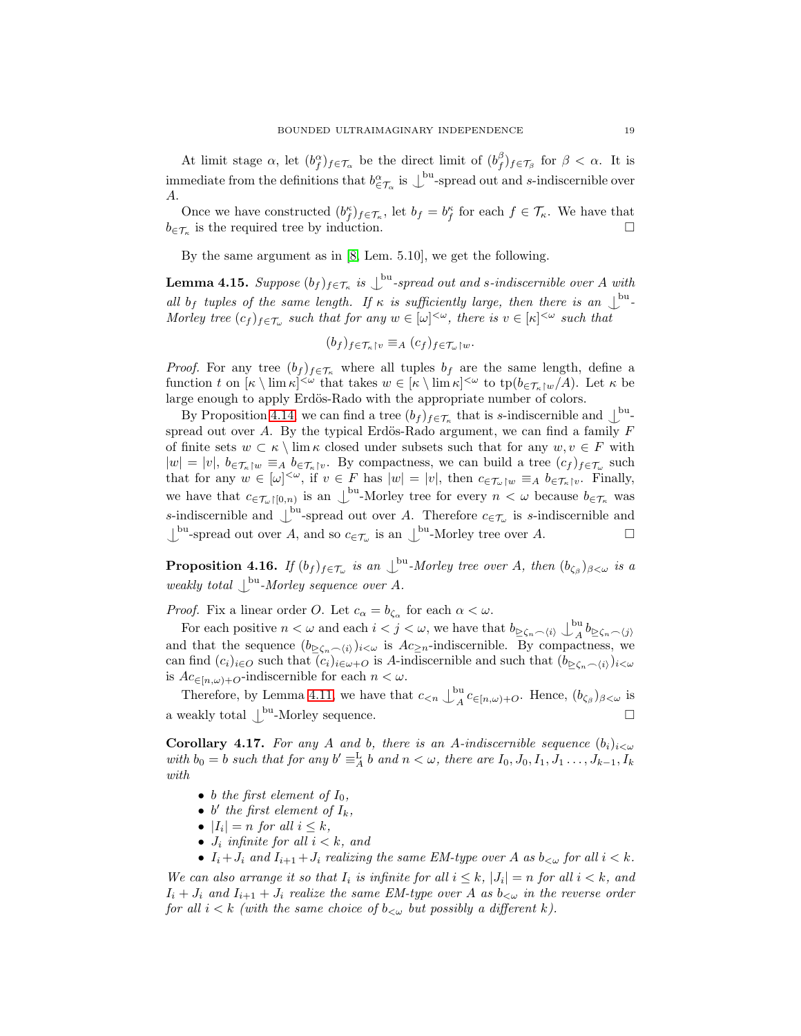At limit stage  $\alpha$ , let  $(b_f^{\alpha})_{f \in \mathcal{T}_{\alpha}}$  be the direct limit of  $(b_f^{\beta})_{f \in \mathcal{T}_{\beta}}$  for  $\beta < \alpha$ . It is immediate from the definitions that  $b_{\epsilon T_{\alpha}}^{\alpha}$  is  $\perp^{\text{bu}}$ -spread out and s-indiscernible over A.

Once we have constructed  $(b_f^{\kappa})_{f \in \mathcal{T}_{\kappa}}$ , let  $b_f = b_f^{\kappa}$  for each  $f \in \mathcal{T}_{\kappa}$ . We have that  $b_{\in \mathcal{T}_{\kappa}}$  is the required tree by induction.

<span id="page-18-2"></span>By the same argument as in [\[8,](#page-21-5) Lem. 5.10], we get the following.

**Lemma 4.15.** Suppose  $(b_f)_{f \in \mathcal{T}_{\kappa}}$  is  $\bigcup^{\text{bu}}$ -spread out and s-indiscernible over A with all b<sub>f</sub> tuples of the same length. If  $\kappa$  is sufficiently large, then there is an  $\mathcal{L}^{\text{bu}}$ -Morley tree  $(c_f)_{f \in \mathcal{T}_\omega}$  such that for any  $w \in [\omega]^{<\omega}$ , there is  $v \in [\kappa]^{<\omega}$  such that

$$
(b_f)_{f \in \mathcal{T}_{\kappa} \upharpoonright v} \equiv_A (c_f)_{f \in \mathcal{T}_{\omega} \upharpoonright w}.
$$

*Proof.* For any tree  $(b_f)_{f \in \mathcal{T}_{\kappa}}$  where all tuples  $b_f$  are the same length, define a function t on  $[\kappa \setminus \lim \kappa]^{<\omega}$  that takes  $w \in [\kappa \setminus \lim \kappa]^{<\omega}$  to  $tp(b_{\in \mathcal{T}_{\kappa} \setminus w}/A)$ . Let  $\kappa$  be large enough to apply Erdös-Rado with the appropriate number of colors.

By Proposition [4.14,](#page-17-0) we can find a tree  $(b_f)_{f \in \mathcal{T}_{\kappa}}$  that is s-indiscernible and  $\mathcal{L}^{\text{bu}}$ spread out over A. By the typical Erdös-Rado argument, we can find a family  $F$ of finite sets  $w \subset \kappa \setminus \lim \kappa$  closed under subsets such that for any  $w, v \in F$  with  $|w| = |v|, b_{\in \mathcal{T}_{\kappa} \upharpoonright w} \equiv_A b_{\in \mathcal{T}_{\kappa} \upharpoonright v}$ . By compactness, we can build a tree  $(c_f)_{f \in \mathcal{T}_{\omega}}$  such that for any  $w \in [\omega]^{<\omega}$ , if  $v \in F$  has  $|w| = |v|$ , then  $c \in \mathcal{T}_{\omega}$ <sub>[w</sub>  $\equiv_A b \in \mathcal{T}_{\kappa}$ [v. Finally, we have that  $c_{\in \mathcal{T}_{\omega} \restriction [0,n]}$  is an  $\bigcup^{\text{bu}}$ -Morley tree for every  $n < \omega$  because  $b_{\in \mathcal{T}_{\kappa}}$  was s-indiscernible and  $\bigcup^{\text{bu}}$ -spread out over A. Therefore  $c_{\in \mathcal{T}_{\omega}}$  is s-indiscernible and  $\bigcup^{\text{bu}}$ -spread out over A, and so  $c_{\in \mathcal{T}_{\omega}}$  is an  $\bigcup^{\text{bu}}$ -Morley tree over A.

<span id="page-18-0"></span>**Proposition 4.16.** If  $(b_f)_{f \in \mathcal{T}_\omega}$  is an  $\bigcup^{\text{bu}}$ -Morley tree over A, then  $(b_{\zeta_\beta})_{\beta < \omega}$  is a weakly total  $\bigcup^{\text{bu}}$ -Morley sequence over A.

*Proof.* Fix a linear order O. Let  $c_{\alpha} = b_{\zeta_{\alpha}}$  for each  $\alpha < \omega$ .

For each positive  $n < \omega$  and each  $i < j < \omega$ , we have that  $b_{\geq \zeta_n \frown \langle i \rangle} \bigcup_{A}^{\text{bu}}$  $A^{(n)} \&\leq \varsigma_n \frown \langle j \rangle$ and that the sequence  $(b_{\geq \zeta_n \frown \langle i \rangle})_{i \leq \omega}$  is  $Ac_{\geq n}$ -indiscernible. By compactness, we can find  $(c_i)_{i\in\mathcal{O}}$  such that  $(c_i)_{i\in\omega+O}$  is A-indiscernible and such that  $(b_{\geq\zeta_n\frown\langle i\rangle})_{i<\omega}$ is  $Ac_{\in [n,\omega)+O}$ -indiscernible for each  $n < \omega$ .

Therefore, by Lemma [4.11,](#page-16-1) we have that  $c_{\leq n} \downarrow_A^{\text{bu}}$  $A^{\alpha}$   $c_{\in [n,\omega)+O}$ . Hence,  $(b_{\zeta_{\beta}})_{\beta<\omega}$  is a weakly total  $\mathcal{L}^{\text{bu}}$ -Morley sequence.

<span id="page-18-1"></span>**Corollary 4.17.** For any A and b, there is an A-indiscernible sequence  $(b_i)_{i \leq \omega}$ with  $b_0 = b$  such that for any  $b' \equiv_A^L b$  and  $n < \omega$ , there are  $I_0, J_0, I_1, J_1, \ldots, J_{k-1}, I_k$ with

- b the first element of  $I_0$ ,
- b' the first element of  $I_k$ ,
- $|I_i| = n$  for all  $i \leq k$ ,
- $J_i$  infinite for all  $i < k$ , and
- $I_i + J_i$  and  $I_{i+1} + J_i$  realizing the same EM-type over A as  $b_{< \omega}$  for all  $i < k$ .

We can also arrange it so that  $I_i$  is infinite for all  $i \leq k$ ,  $|J_i| = n$  for all  $i < k$ , and  $I_i + J_i$  and  $I_{i+1} + J_i$  realize the same EM-type over A as  $b_{\leq \omega}$  in the reverse order for all  $i < k$  (with the same choice of  $b_{\lt \omega}$  but possibly a different k).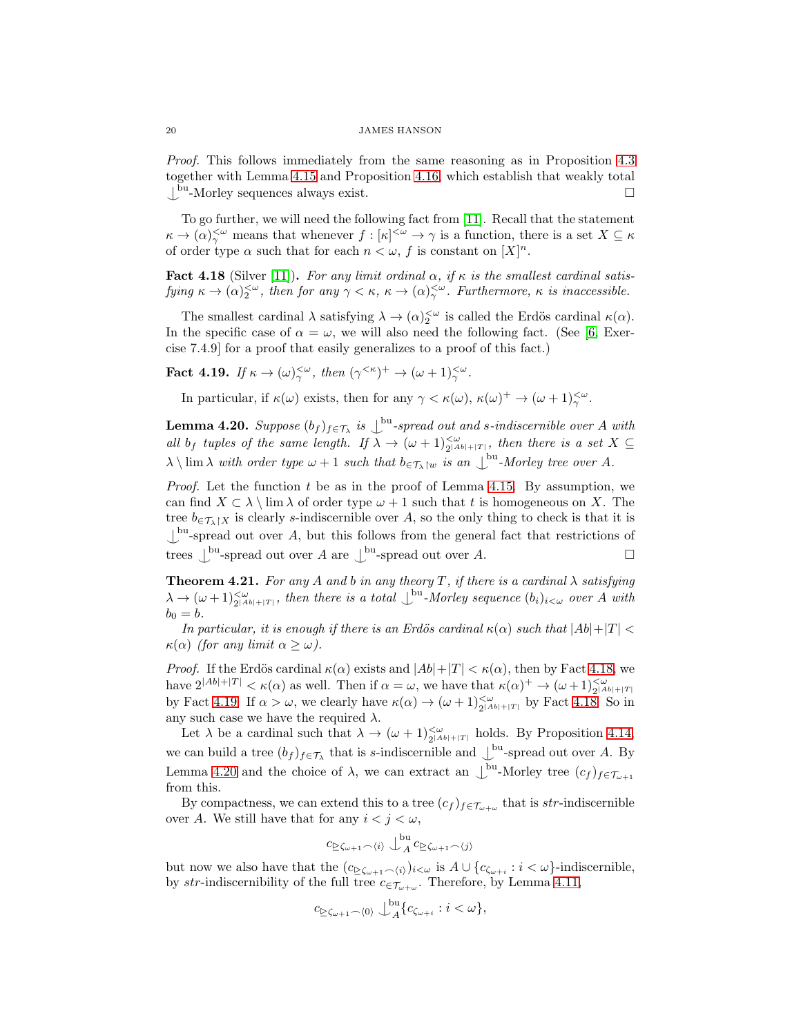Proof. This follows immediately from the same reasoning as in Proposition [4.3](#page-13-1) together with Lemma [4.15](#page-18-2) and Proposition [4.16,](#page-18-0) which establish that weakly total  $\mathcal{L}^{\text{bu}}$ -Morley sequences always exist.

To go further, we will need the following fact from [\[11\]](#page-21-12). Recall that the statement  $\kappa \to (\alpha)^{<\omega}_{\gamma}$  means that whenever  $f : [\kappa]^{<\omega} \to \gamma$  is a function, there is a set  $X \subseteq \kappa$ of order type  $\alpha$  such that for each  $n < \omega$ , f is constant on  $[X]^n$ .

<span id="page-19-1"></span>Fact 4.18 (Silver [\[11\]](#page-21-12)). For any limit ordinal  $\alpha$ , if  $\kappa$  is the smallest cardinal satisfying  $\kappa \to (\alpha)_{2}^{<\omega}$ , then for any  $\gamma < \kappa$ ,  $\kappa \to (\alpha)_{\gamma}^{<\omega}$ . Furthermore,  $\kappa$  is inaccessible.

The smallest cardinal  $\lambda$  satisfying  $\lambda \to (\alpha)_{2}^{<\omega}$  is called the Erdös cardinal  $\kappa(\alpha)$ . In the specific case of  $\alpha = \omega$ , we will also need the following fact. (See [\[6,](#page-21-13) Exercise 7.4.9] for a proof that easily generalizes to a proof of this fact.)

<span id="page-19-2"></span>**Fact 4.19.** If  $\kappa \to (\omega)_{\gamma}^{<\omega}$ , then  $(\gamma^{<\kappa})^+ \to (\omega + 1)_{\gamma}^{<\omega}$ .

<span id="page-19-3"></span>In particular, if  $\kappa(\omega)$  exists, then for any  $\gamma < \kappa(\omega)$ ,  $\kappa(\omega)^+ \to (\omega+1)_{\gamma}^{<\omega}$ .

**Lemma 4.20.** Suppose  $(b_f)_{f \in \mathcal{T}_\lambda}$  is  $\bigcup^{\text{bu}}$ -spread out and s-indiscernible over A with all b<sub>f</sub> tuples of the same length. If  $\lambda \to (\omega + 1)_{2^{|Ab|+|T|}}^{<\omega}$ , then there is a set  $X \subseteq$  $\lambda \setminus \lim \lambda \text{ with order type } \omega + 1 \text{ such that } b_{\epsilon, \tau_{\lambda} \mid w} \text{ is an } \perp^{\text{bu}}\text{-}Morley \text{ tree over } A.$ 

*Proof.* Let the function t be as in the proof of Lemma [4.15.](#page-18-2) By assumption, we can find  $X \subset \lambda \setminus \lim \lambda$  of order type  $\omega + 1$  such that t is homogeneous on X. The tree  $b_{\in \mathcal{T}_{\lambda} | X}$  is clearly s-indiscernible over A, so the only thing to check is that it is  $\perp^{\text{bu}}$ -spread out over A, but this follows from the general fact that restrictions of trees  $\bigcup^{\text{bu}}$ -spread out over A are  $\bigcup^{\text{bu}}$ -spread out over A.

<span id="page-19-0"></span>**Theorem 4.21.** For any A and b in any theory T, if there is a cardinal  $\lambda$  satisfying  $\lambda \to (\omega + 1)_{2^{[Ab]+|T|}}^{<\omega}$ , then there is a total  $\bigcup^{\text{bu}}$ -Morley sequence  $(b_i)_{i<\omega}$  over A with  $b_0 = b$ .

In particular, it is enough if there is an Erdös cardinal  $\kappa(\alpha)$  such that  $|Ab|+|T| <$  $\kappa(\alpha)$  (for any limit  $\alpha \geq \omega$ ).

*Proof.* If the Erdös cardinal  $\kappa(\alpha)$  exists and  $|Ab|+|T| < \kappa(\alpha)$ , then by Fact [4.18,](#page-19-1) we have  $2^{|Ab|+|T|} < \kappa(\alpha)$  as well. Then if  $\alpha = \omega$ , we have that  $\kappa(\alpha)^+ \to (\omega+1)_{2^{|Ab|+|T|}}^{\leq \omega}$ by Fact [4.19.](#page-19-2) If  $\alpha > \omega$ , we clearly have  $\kappa(\alpha) \to (\omega + 1)_{2[Ab]+|T|}^{-1}$  by Fact [4.18.](#page-19-1) So in any such case we have the required  $\lambda$ .

Let  $\lambda$  be a cardinal such that  $\lambda \to (\omega + 1)_{2|Ab|+|T|}^{\leq \omega}$  holds. By Proposition [4.14,](#page-17-0) 2 we can build a tree  $(b_f)_{f \in \mathcal{T}_\lambda}$  that is s-indiscernible and  $\bigcup^{\text{bu}}$ -spread out over A. By Lemma [4.20](#page-19-3) and the choice of  $\lambda$ , we can extract an  $\int_{0}^{\text{bu}}$ -Morley tree  $(c_f)_{f \in \mathcal{T}_{\omega+1}}$ from this.

By compactness, we can extend this to a tree  $(c_f)_{f \in \mathcal{T}_{\omega+\omega}}$  that is str-indiscernible over A. We still have that for any  $i < j < \omega$ ,

$$
c_{\geq \zeta_{\omega+1} \frown \langle i \rangle} \bigcup_{A}^{\mathrm{bu}} c_{\geq \zeta_{\omega+1} \frown \langle j \rangle}
$$

but now we also have that the  $(c_{\geq \zeta_{\omega+1} \frown \langle i \rangle})_{i<\omega}$  is  $A \cup \{c_{\zeta_{\omega+i}} : i < \omega\}$ -indiscernible, by str-indiscernibility of the full tree  $c_{\in \mathcal{T}_{\omega+\omega}}$ . Therefore, by Lemma [4.11,](#page-16-1)

$$
c_{\geq \zeta_{\omega+1} \frown \langle 0 \rangle} \bigcup_{A}^{\mathrm{bu}} \{c_{\zeta_{\omega+i}} : i < \omega\},\
$$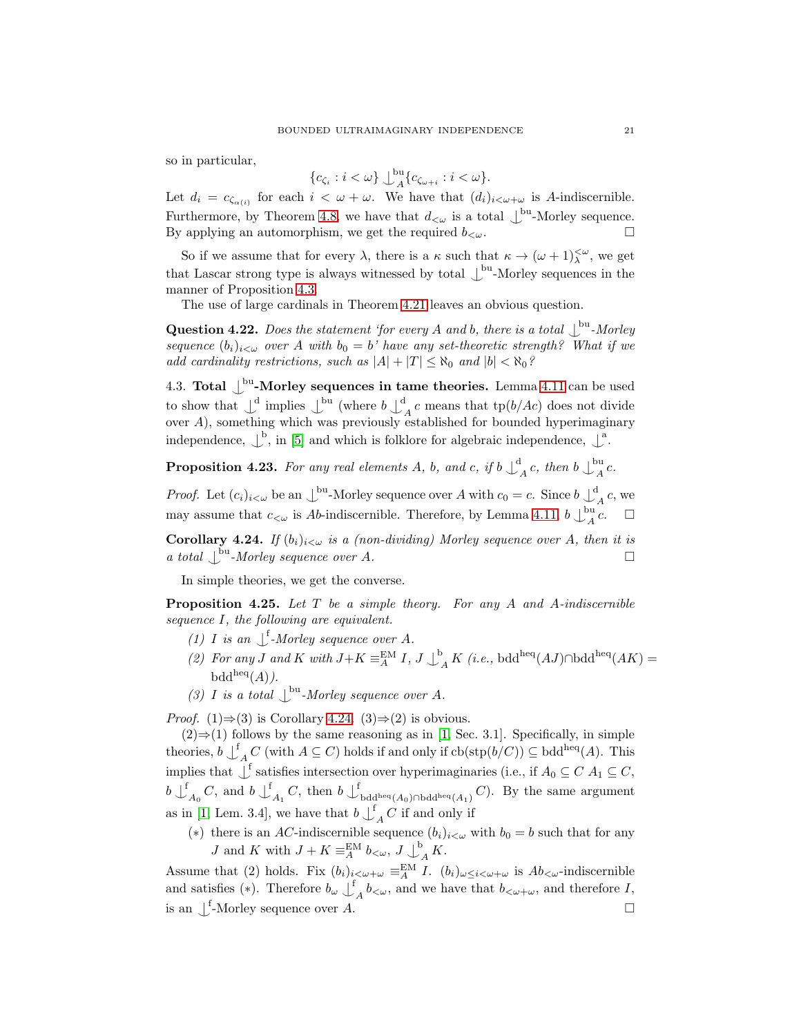so in particular,

$$
\{c_{\zeta_i}: i<\omega\}\bigcup_{A}^{\mathrm{bu}}\{c_{\zeta_{\omega+i}}: i<\omega\}.
$$

Let  $d_i = c_{\zeta_{\alpha(i)}}$  for each  $i < \omega + \omega$ . We have that  $(d_i)_{i < \omega + \omega}$  is A-indiscernible. Furthermore, by Theorem [4.8,](#page-14-0) we have that  $d_{\lt \omega}$  is a total  $\bigcup^{\text{bu}}$ -Morley sequence. By applying an automorphism, we get the required  $b_{< \omega}$ .

So if we assume that for every  $\lambda$ , there is a  $\kappa$  such that  $\kappa \to (\omega + 1)^{<\omega}_{\lambda}$ , we get that Lascar strong type is always witnessed by total  $\bigcup^{\text{bu}}$ -Morley sequences in the manner of Proposition [4.3.](#page-13-1)

The use of large cardinals in Theorem [4.21](#page-19-0) leaves an obvious question.

Question 4.22. Does the statement 'for every A and b, there is a total  $\bigcup_{\alpha=1}^{\text{bu}}$ -Morley sequence  $(b_i)_{i<\omega}$  over A with  $b_0 = b'$  have any set-theoretic strength? What if we add cardinality restrictions, such as  $|A| + |T| \leq \aleph_0$  and  $|b| < \aleph_0$ ?

4.3. Total  $\bigcup^{\text{bu}}$ -Morley sequences in tame theories. Lemma [4.11](#page-16-1) can be used to show that  $\bigcup_{\alpha}^{\text{d}}$  implies  $\bigcup_{\alpha}^{\text{bu}}$  (where  $b \bigcup_{\alpha}^{\text{d}}$  $A<sup>t</sup> A c$  means that tp( $b/Ac$ ) does not divide over A), something which was previously established for bounded hyperimaginary independence,  $\downarrow^b$ , in [\[5\]](#page-21-3) and which is folklore for algebraic independence,  $\downarrow^a$ .

**Proposition 4.23.** For any real elements A, b, and c, if  $b \downarrow^d$  $A^{\rm l}_{A}$ c, then b $\bigcup_{A}^{\rm bu}$  $A^{\mu}$ c.

*Proof.* Let  $(c_i)_{i < \omega}$  be an  $\bigcup^{\text{bu}}$ -Morley sequence over A with  $c_0 = c$ . Since  $b \bigcup^{\text{d}}$  $A^{\iota}$  c, we may assume that  $c_{\lt \omega}$  is Ab-indiscernible. Therefore, by Lemma [4.11,](#page-16-1)  $b \bigcup_{A}^{\text{bu}}$  $A^{\text{ou}}c. \quad \Box$ 

<span id="page-20-0"></span>Corollary 4.24. If  $(b_i)_{i<\omega}$  is a (non-dividing) Morley sequence over A, then it is a total  $\bigcup^{\text{bu}}$ -Morley sequence over A.

In simple theories, we get the converse.

**Proposition 4.25.** Let  $T$  be a simple theory. For any  $A$  and  $A$ -indiscernible sequence I, the following are equivalent.

- (1) I is an  $\int^{\mathbf{f}}$ -Morley sequence over A.
- (2) For any J and K with  $J+K \equiv^{\text{EM}}_A I, J \downarrow^b$  $A_A^K$  (*i.e.*, bdd<sup>heq</sup>( $AJ$ )∩bdd<sup>heq</sup>( $AK$ ) =  $\text{bdd}^{\text{heq}}(A)$ ).
- (3) I is a total  $\bigcup^{\text{bu}}$ -Morley sequence over A.

*Proof.* (1) $\Rightarrow$ (3) is Corollary [4.24.](#page-20-0) (3) $\Rightarrow$ (2) is obvious.

 $(2)$  ⇒(1) follows by the same reasoning as in [\[1,](#page-21-4) Sec. 3.1]. Specifically, in simple theories,  $b \downarrow^f$  $A \subseteq C$  (with  $A \subseteq C$ ) holds if and only if  $cb(\text{stp}(b/C)) \subseteq \text{bdd}^{\text{heq}}(A)$ . This implies that  $\bigcup$ <sup>f</sup> satisfies intersection over hyperimaginaries (i.e., if  $A_0 \subseteq C$   $A_1 \subseteq C$ ,  $b\downarrow^{\text{f}}$  $_{A_0}C$ , and  $b\downarrow^f$  $A_1 C$ , then  $b \downarrow^f$ bdd<sup>heq</sup>(A<sub>0</sub>)∩bdd<sup>heq</sup>(A<sub>1</sub>)</sub>  $C$ ). By the same argument as in [\[1,](#page-21-4) Lem. 3.4], we have that  $b \downarrow^f$  $_{A}$  C if and only if

(\*) there is an AC-indiscernible sequence  $(b_i)_{i < \omega}$  with  $b_0 = b$  such that for any *J* and *K* with  $J + K \equiv_A^{\text{EM}} b_{\lt \omega}, J \downarrow^{\text{b}}$  $A$ <sup>K</sup>.

Assume that (2) holds. Fix  $(b_i)_{i<\omega+\omega} \equiv^\text{EM}_{A} I$ .  $(b_i)_{\omega\leq i<\omega+\omega}$  is  $Ab_{\leq \omega}$ -indiscernible and satisfies (\*). Therefore  $b_{\omega} \downarrow^f$  $A b<sub>\omega</sub>$ , and we have that  $b<sub>\omega+\omega</sub>$ , and therefore I, is an  $\bigcup^f$ -Morley sequence over A.